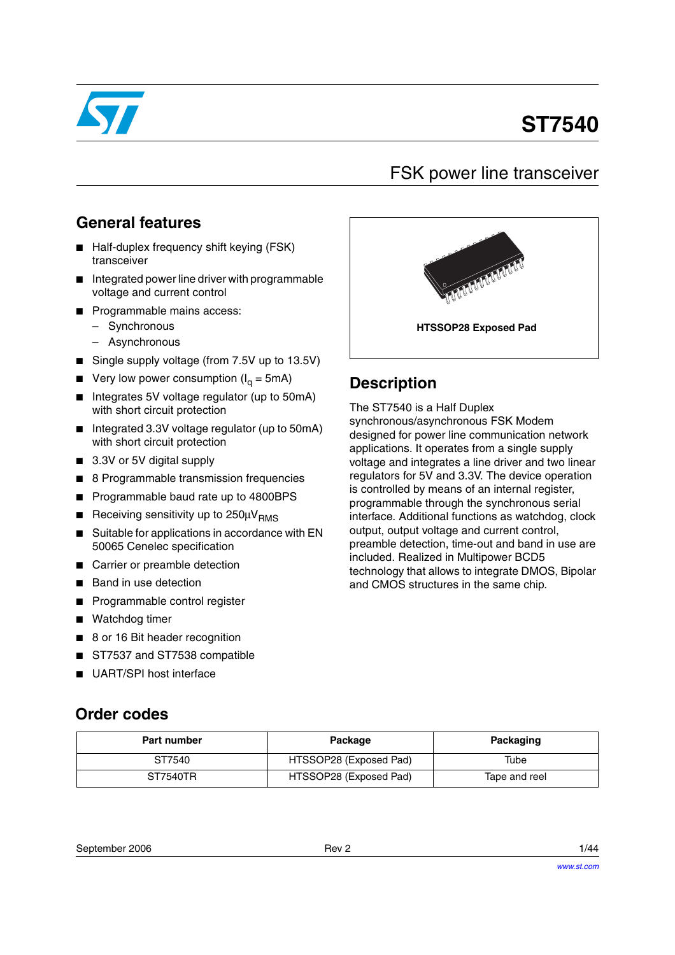

# **ST7540**

# FSK power line transceiver

# **General features**

- Half-duplex frequency shift keying (FSK) transceiver
- Integrated power line driver with programmable voltage and current control
- Programmable mains access:
	- Synchronous
	- Asynchronous
- Single supply voltage (from 7.5V up to 13.5V)
- Very low power consumption ( $I<sub>q</sub> = 5mA$ )
- Integrates 5V voltage regulator (up to 50mA) with short circuit protection
- Integrated 3.3V voltage regulator (up to 50mA) with short circuit protection
- 3.3V or 5V digital supply
- 8 Programmable transmission frequencies
- Programmable baud rate up to 4800BPS
- **■** Receiving sensitivity up to  $250 \mu V_{BMS}$
- Suitable for applications in accordance with EN 50065 Cenelec specification
- Carrier or preamble detection
- Band in use detection
- Programmable control register
- Watchdog timer

**Order codes**

- 8 or 16 Bit header recognition
- ST7537 and ST7538 compatible
- UART/SPI host interface

# **HTSSOP28 Exposed Pad**

# **Description**

The ST7540 is a Half Duplex synchronous/asynchronous FSK Modem designed for power line communication network applications. It operates from a single supply voltage and integrates a line driver and two linear regulators for 5V and 3.3V. The device operation is controlled by means of an internal register, programmable through the synchronous serial interface. Additional functions as watchdog, clock output, output voltage and current control, preamble detection, time-out and band in use are included. Realized in Multipower BCD5 technology that allows to integrate DMOS, Bipolar and CMOS structures in the same chip.

| Part number | Package                | Packaging     |
|-------------|------------------------|---------------|
| ST7540      | HTSSOP28 (Exposed Pad) | Tube          |
| ST7540TR    | HTSSOP28 (Exposed Pad) | Tape and reel |

September 2006 **Rev 2** 1/44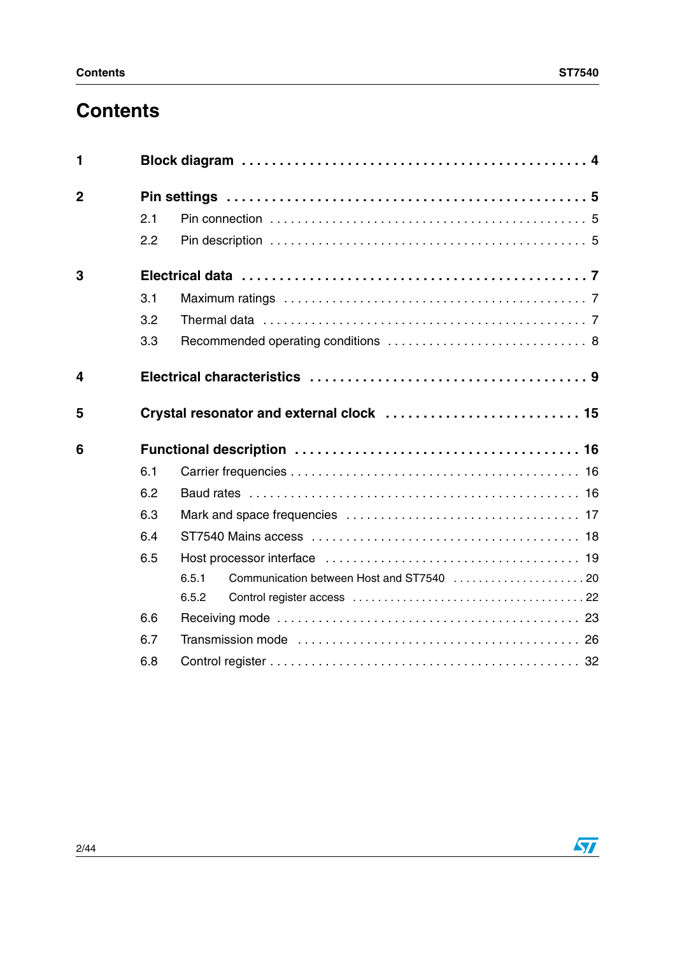# **Contents**

| 1              |     |                                          |  |  |  |  |  |
|----------------|-----|------------------------------------------|--|--|--|--|--|
| $\overline{2}$ |     |                                          |  |  |  |  |  |
|                | 2.1 |                                          |  |  |  |  |  |
|                | 2.2 |                                          |  |  |  |  |  |
| 3              |     |                                          |  |  |  |  |  |
|                | 3.1 |                                          |  |  |  |  |  |
|                | 3.2 |                                          |  |  |  |  |  |
|                | 3.3 |                                          |  |  |  |  |  |
| 4              |     |                                          |  |  |  |  |  |
| 5              |     | Crystal resonator and external clock  15 |  |  |  |  |  |
| 6              |     |                                          |  |  |  |  |  |
|                | 6.1 |                                          |  |  |  |  |  |
|                | 6.2 |                                          |  |  |  |  |  |
|                | 6.3 |                                          |  |  |  |  |  |
|                | 6.4 |                                          |  |  |  |  |  |
|                | 6.5 |                                          |  |  |  |  |  |
|                |     | 6.5.1                                    |  |  |  |  |  |
|                |     | 6.5.2                                    |  |  |  |  |  |
|                | 6.6 |                                          |  |  |  |  |  |
|                | 6.7 |                                          |  |  |  |  |  |
|                | 6.8 |                                          |  |  |  |  |  |

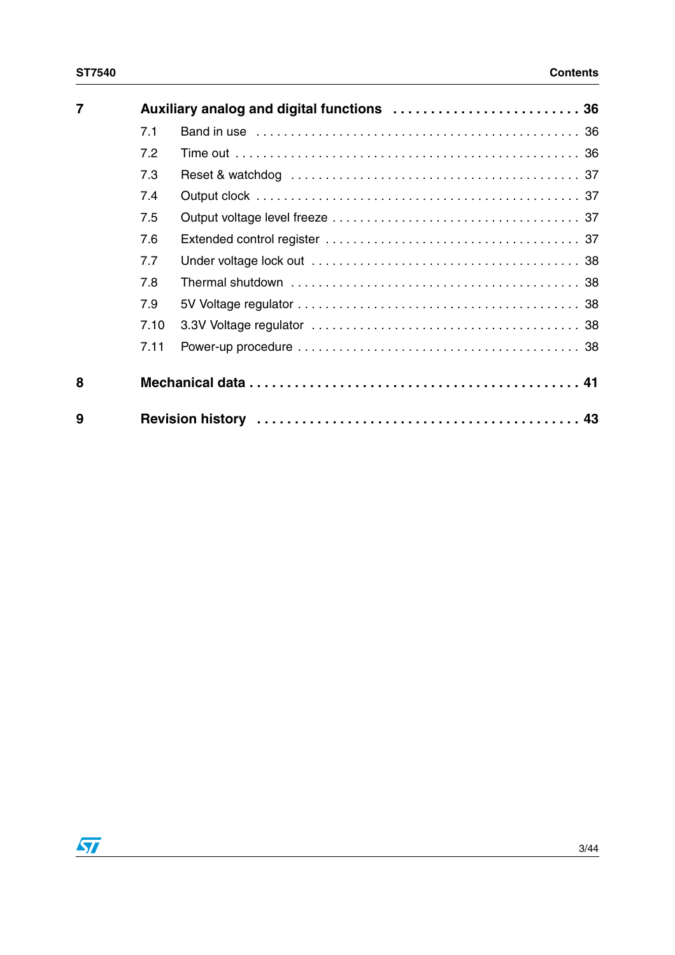| $\overline{7}$ |      |  |
|----------------|------|--|
|                | 7.1  |  |
|                | 7.2  |  |
|                | 7.3  |  |
|                | 7.4  |  |
|                | 7.5  |  |
|                | 7.6  |  |
|                | 7.7  |  |
|                | 7.8  |  |
|                | 7.9  |  |
|                | 7.10 |  |
|                | 7.11 |  |
| 8              |      |  |
| 9              |      |  |

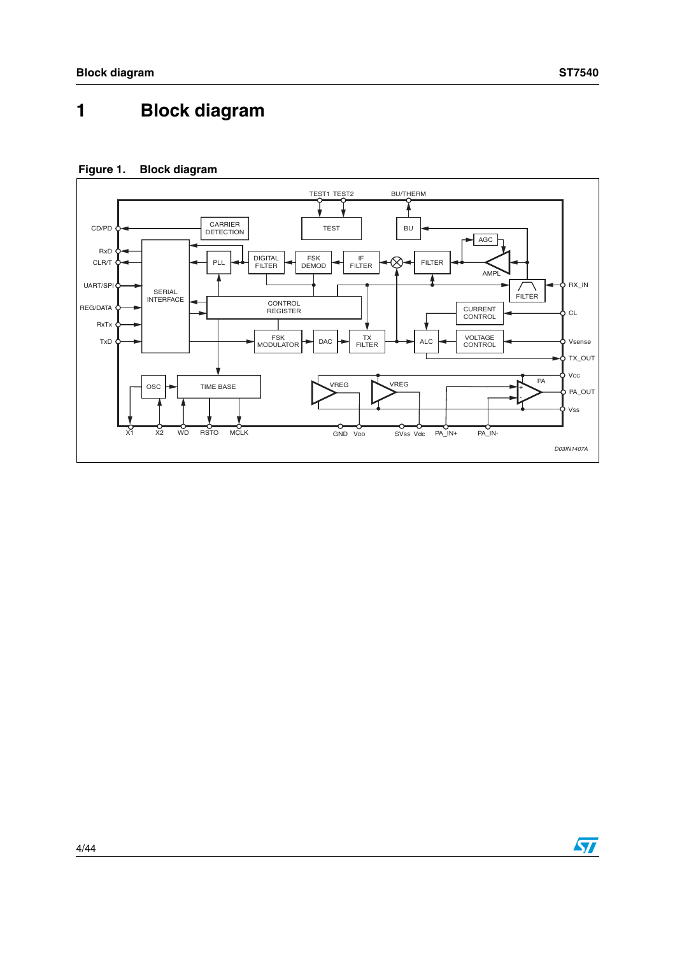# <span id="page-3-0"></span>**1 Block diagram**

## **Figure 1. Block diagram**



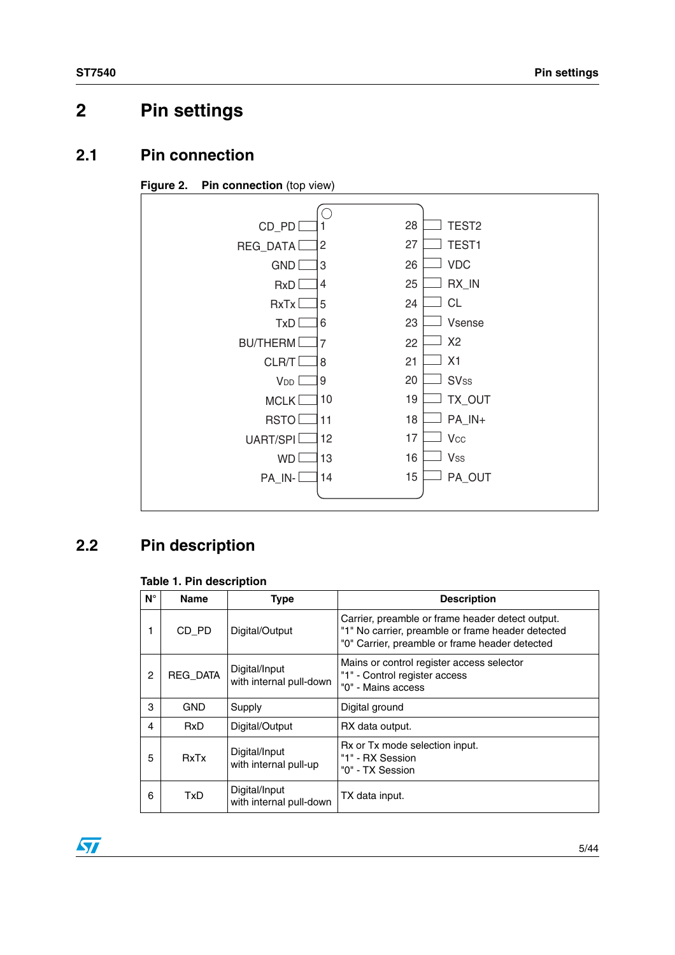# <span id="page-4-0"></span>**2 Pin settings**

# <span id="page-4-1"></span>**2.1 Pin connection**





# <span id="page-4-2"></span>**2.2 Pin description**

#### **Table 1. Pin description**

| $N^{\circ}$ | <b>Name</b> | <b>Type</b>                              | <b>Description</b>                                                                                                                                      |
|-------------|-------------|------------------------------------------|---------------------------------------------------------------------------------------------------------------------------------------------------------|
|             | CD_PD       | Digital/Output                           | Carrier, preamble or frame header detect output.<br>"1" No carrier, preamble or frame header detected<br>"0" Carrier, preamble or frame header detected |
| 2           | REG_DATA    | Digital/Input<br>with internal pull-down | Mains or control register access selector<br>"1" - Control register access<br>"0" - Mains access                                                        |
| 3           | <b>GND</b>  | Supply                                   | Digital ground                                                                                                                                          |
| 4           | <b>RxD</b>  | Digital/Output                           | RX data output.                                                                                                                                         |
| 5           | <b>RxTx</b> | Digital/Input<br>with internal pull-up   | Rx or Tx mode selection input.<br>"1" - RX Session<br>"0" - TX Session                                                                                  |
| 6           | <b>TxD</b>  | Digital/Input<br>with internal pull-down | TX data input.                                                                                                                                          |

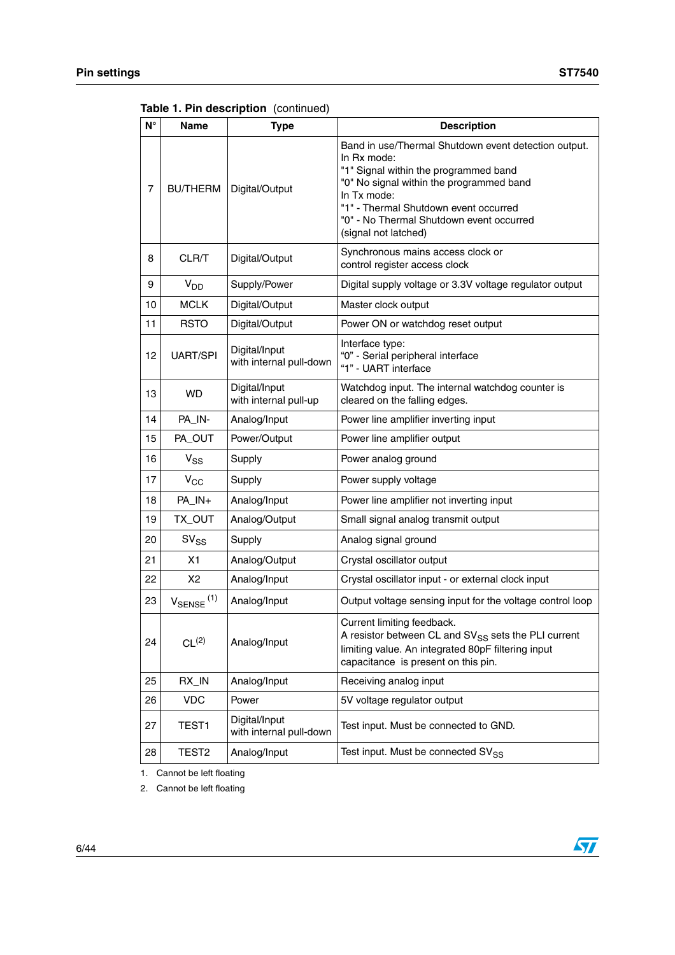**Table 1. Pin description** (continued)

| $N^{\circ}$ | Name                     | <b>Type</b>                              | <b>Description</b>                                                                                                                                                                                                                                                                   |
|-------------|--------------------------|------------------------------------------|--------------------------------------------------------------------------------------------------------------------------------------------------------------------------------------------------------------------------------------------------------------------------------------|
| 7           | <b>BU/THERM</b>          | Digital/Output                           | Band in use/Thermal Shutdown event detection output.<br>In Rx mode:<br>"1" Signal within the programmed band<br>"0" No signal within the programmed band<br>In Tx mode:<br>"1" - Thermal Shutdown event occurred<br>"0" - No Thermal Shutdown event occurred<br>(signal not latched) |
| 8           | CLR/T                    | Digital/Output                           | Synchronous mains access clock or<br>control register access clock                                                                                                                                                                                                                   |
| 9           | $V_{DD}$                 | Supply/Power                             | Digital supply voltage or 3.3V voltage regulator output                                                                                                                                                                                                                              |
| 10          | <b>MCLK</b>              | Digital/Output                           | Master clock output                                                                                                                                                                                                                                                                  |
| 11          | <b>RSTO</b>              | Digital/Output                           | Power ON or watchdog reset output                                                                                                                                                                                                                                                    |
| 12          | <b>UART/SPI</b>          | Digital/Input<br>with internal pull-down | Interface type:<br>"0" - Serial peripheral interface<br>"1" - UART interface                                                                                                                                                                                                         |
| 13          | WD.                      | Digital/Input<br>with internal pull-up   | Watchdog input. The internal watchdog counter is<br>cleared on the falling edges.                                                                                                                                                                                                    |
| 14          | PA_IN-                   | Analog/Input                             | Power line amplifier inverting input                                                                                                                                                                                                                                                 |
| 15          | PA_OUT                   | Power/Output                             | Power line amplifier output                                                                                                                                                                                                                                                          |
| 16          | $V_{SS}$                 | Supply                                   | Power analog ground                                                                                                                                                                                                                                                                  |
| 17          | $V_{CC}$                 | Supply                                   | Power supply voltage                                                                                                                                                                                                                                                                 |
| 18          | PA_IN+                   | Analog/Input                             | Power line amplifier not inverting input                                                                                                                                                                                                                                             |
| 19          | TX_OUT                   | Analog/Output                            | Small signal analog transmit output                                                                                                                                                                                                                                                  |
| 20          | $SV_{SS}$                | Supply                                   | Analog signal ground                                                                                                                                                                                                                                                                 |
| 21          | X1                       | Analog/Output                            | Crystal oscillator output                                                                                                                                                                                                                                                            |
| 22          | X <sub>2</sub>           | Analog/Input                             | Crystal oscillator input - or external clock input                                                                                                                                                                                                                                   |
| 23          | $V_{\text{SENSE}}^{(1)}$ | Analog/Input                             | Output voltage sensing input for the voltage control loop                                                                                                                                                                                                                            |
| 24          | CL <sup>(2)</sup>        | Analog/Input                             | Current limiting feedback.<br>A resistor between CL and SV <sub>SS</sub> sets the PLI current<br>limiting value. An integrated 80pF filtering input<br>capacitance is present on this pin.                                                                                           |
| 25          | RX_IN                    | Analog/Input                             | Receiving analog input                                                                                                                                                                                                                                                               |
| 26          | <b>VDC</b>               | Power                                    | 5V voltage regulator output                                                                                                                                                                                                                                                          |
| 27          | TEST1                    | Digital/Input<br>with internal pull-down | Test input. Must be connected to GND.                                                                                                                                                                                                                                                |
| 28          | TEST <sub>2</sub>        | Analog/Input                             | Test input. Must be connected SV <sub>SS</sub>                                                                                                                                                                                                                                       |

1. Cannot be left floating

2. Cannot be left floating

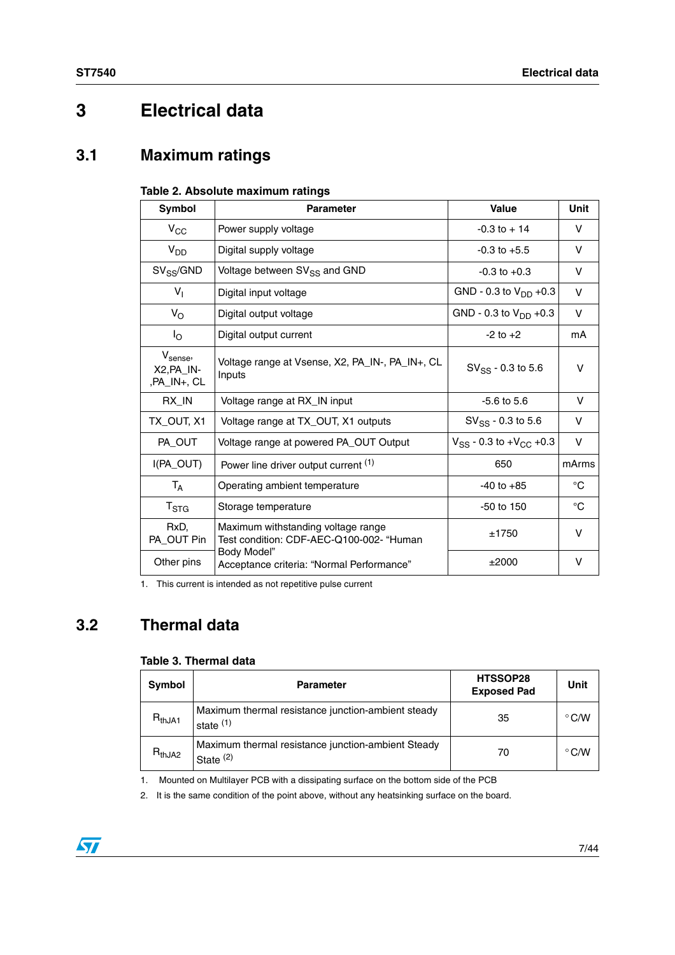# <span id="page-6-0"></span>**3 Electrical data**

# <span id="page-6-1"></span>**3.1 Maximum ratings**

#### **Table 2. Absolute maximum ratings**

| <b>Symbol</b>                                       | <b>Parameter</b>                                                               | Value                             | <b>Unit</b> |
|-----------------------------------------------------|--------------------------------------------------------------------------------|-----------------------------------|-------------|
| $V_{\rm CC}$                                        | Power supply voltage                                                           | $-0.3$ to $+14$                   | V           |
| $V_{DD}$                                            | Digital supply voltage                                                         | $-0.3$ to $+5.5$                  | V           |
| $SV_{SS}/GND$                                       | Voltage between SV <sub>SS</sub> and GND                                       | $-0.3$ to $+0.3$                  | v           |
| $V_{\parallel}$                                     | Digital input voltage                                                          | GND - 0.3 to $V_{DD}$ +0.3        | $\vee$      |
| $V_{\rm O}$                                         | Digital output voltage                                                         | GND - 0.3 to $V_{DD}$ +0.3        | V           |
| $I_{\rm O}$                                         | Digital output current                                                         | $-2$ to $+2$                      | mA          |
| $V_{\text{sense}}$<br>$X2, PA$ $IN-$<br>,PA_IN+, CL | Voltage range at Vsense, X2, PA_IN-, PA_IN+, CL<br>Inputs                      | $SV_{SS}$ - 0.3 to 5.6            | v           |
| RX_IN                                               | Voltage range at RX_IN input                                                   | $-5.6$ to $5.6$                   | V           |
| TX_OUT, X1                                          | Voltage range at TX_OUT, X1 outputs                                            | $SV_{SS}$ - 0.3 to 5.6            | v           |
| PA_OUT                                              | Voltage range at powered PA_OUT Output                                         | $V_{SS}$ - 0.3 to + $V_{CC}$ +0.3 | V           |
| I(PA_OUT)                                           | Power line driver output current (1)                                           | 650                               | mArms       |
| $T_A$                                               | Operating ambient temperature                                                  | $-40$ to $+85$                    | $^{\circ}C$ |
| $T_{\rm STG}$                                       | Storage temperature                                                            | -50 to 150                        | °C          |
| RxD.<br>PA_OUT Pin                                  | Maximum withstanding voltage range<br>Test condition: CDF-AEC-Q100-002- "Human | ±1750                             | V           |
| Other pins                                          | Body Model"<br>Acceptance criteria: "Normal Performance"                       | ±2000                             | v           |

1. This current is intended as not repetitive pulse current

# <span id="page-6-2"></span>**3.2 Thermal data**

#### **Table 3. Thermal data**

| Symbol        | <b>Parameter</b>                                                  | HTSSOP28<br><b>Exposed Pad</b> | Unit          |
|---------------|-------------------------------------------------------------------|--------------------------------|---------------|
| $R_{thJA1}$   | Maximum thermal resistance junction-ambient steady<br>state $(1)$ | 35                             | $\degree$ C/W |
| $R_{th, JA2}$ | Maximum thermal resistance junction-ambient Steady<br>State $(2)$ | 70                             | $\degree$ C/W |

1. Mounted on Multilayer PCB with a dissipating surface on the bottom side of the PCB

2. It is the same condition of the point above, without any heatsinking surface on the board.

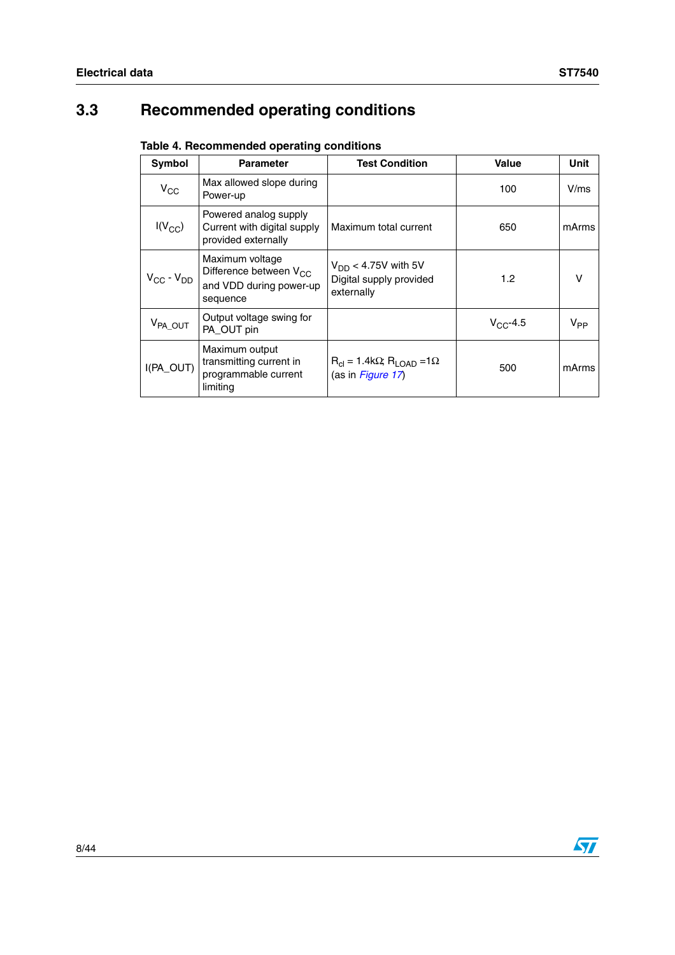# <span id="page-7-0"></span>**3.3 Recommended operating conditions**

| Table 4. Recommended operating conditions |  |
|-------------------------------------------|--|
|-------------------------------------------|--|

| Symbol              | <b>Parameter</b>                                                                             | <b>Test Condition</b>                                                  | Value            | Unit     |
|---------------------|----------------------------------------------------------------------------------------------|------------------------------------------------------------------------|------------------|----------|
| $V_{\rm CC}$        | Max allowed slope during<br>Power-up                                                         |                                                                        | 100              | V/ms     |
| $I(V_{CC})$         | Powered analog supply<br>Current with digital supply<br>provided externally                  | Maximum total current                                                  | 650              | mArms    |
| $V_{CC} - V_{DD}$   | Maximum voltage<br>Difference between V <sub>CC</sub><br>and VDD during power-up<br>sequence | $V_{DD}$ < 4.75V with 5V<br>Digital supply provided<br>externally      | 1.2 <sub>1</sub> | v        |
| V <sub>PA_OUT</sub> | Output voltage swing for<br>PA OUT pin                                                       |                                                                        | $V_{CC}$ -4.5    | $V_{PP}$ |
| I(PA_OUT)           | Maximum output<br>transmitting current in<br>programmable current<br>limiting                | $R_{cl}$ = 1.4k $\Omega$ ; $R_{LOAD}$ =1 $\Omega$<br>(as in Figure 17) | 500              | mArms    |

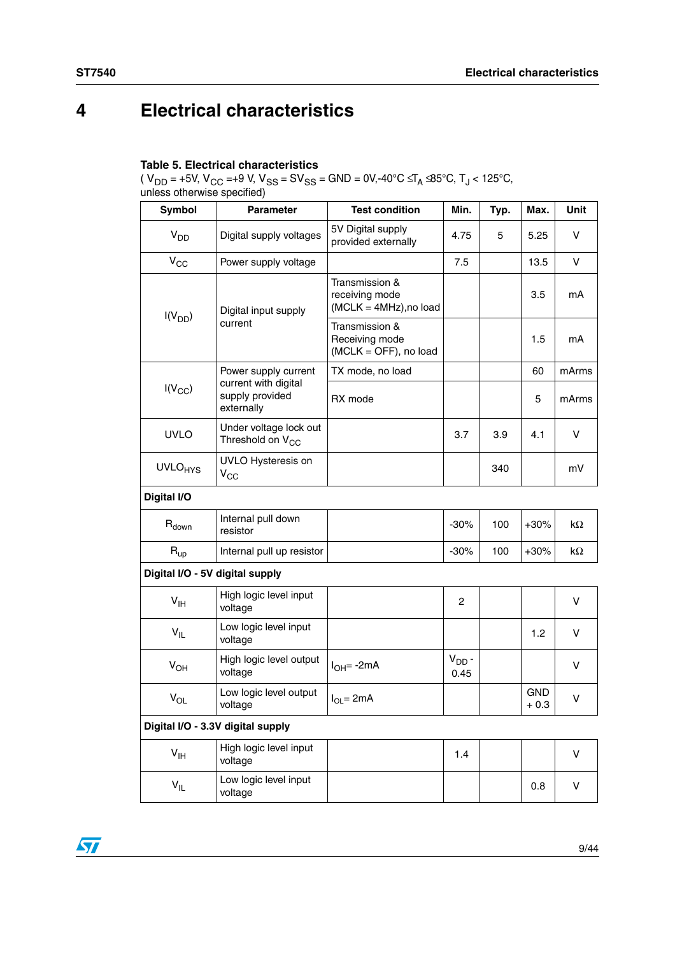# <span id="page-8-0"></span>**4 Electrical characteristics**

#### **Table 5. Electrical characteristics**

(  $V_{DD}$  = +5V,  $V_{CC}$  =+9 V,  $V_{SS}$  = S $V_{SS}$  = GND = 0V,-40°C  $\leq T_A \leq 5^{\circ}$ C, T $_J$  < 125°C, unless otherwise specified)

| Symbol                          | <b>Parameter</b>                                       | <b>Test condition</b>                                      | Min.               | Typ. | Max.                 | Unit      |
|---------------------------------|--------------------------------------------------------|------------------------------------------------------------|--------------------|------|----------------------|-----------|
| V <sub>DD</sub>                 | Digital supply voltages                                | 5V Digital supply<br>provided externally                   | 4.75               | 5    | 5.25                 | V         |
| $V_{CC}$                        | Power supply voltage                                   |                                                            | 7.5                |      | 13.5                 | V         |
| $I(V_{DD})$                     | Digital input supply                                   | Transmission &<br>receiving mode<br>(MCLK = 4MHz), no load |                    |      | 3.5                  | mA        |
|                                 | current                                                | Transmission &<br>Receiving mode<br>(MCLK = OFF), no load  |                    |      | 1.5                  | mA        |
|                                 | Power supply current                                   | TX mode, no load                                           |                    |      | 60                   | mArms     |
| $I(V_{CC})$                     | current with digital<br>supply provided<br>externally  | RX mode                                                    |                    |      | 5                    | mArms     |
| <b>UVLO</b>                     | Under voltage lock out<br>Threshold on V <sub>CC</sub> |                                                            | 3.7                | 3.9  | 4.1                  | v         |
| <b>UVLO<sub>HYS</sub></b>       | UVLO Hysteresis on<br>$V_{CC}$                         |                                                            |                    | 340  |                      | mV        |
| Digital I/O                     |                                                        |                                                            |                    |      |                      |           |
| $R_{down}$                      | Internal pull down<br>resistor                         |                                                            | $-30%$             | 100  | $+30%$               | $k\Omega$ |
| $R_{up}$                        | Internal pull up resistor                              |                                                            | $-30%$             | 100  | $+30%$               | $k\Omega$ |
| Digital I/O - 5V digital supply |                                                        |                                                            |                    |      |                      |           |
| $V_{\text{IH}}$                 | High logic level input<br>voltage                      |                                                            | $\overline{c}$     |      |                      | v         |
| $V_{IL}$                        | Low logic level input<br>voltage                       |                                                            |                    |      | 1.2                  | v         |
| $V_{OH}$                        | High logic level output<br>voltage                     | $I_{OH} = -2mA$                                            | $V_{DD}$ -<br>0.45 |      |                      | v         |
| $V_{OL}$                        | Low logic level output<br>voltage                      | $I_{OL} = 2mA$                                             |                    |      | <b>GND</b><br>$+0.3$ | V         |
|                                 | Digital I/O - 3.3V digital supply                      |                                                            |                    |      |                      |           |
| $V_{\text{IH}}$                 | High logic level input<br>voltage                      |                                                            | 1.4                |      |                      | v         |
| $V_{IL}$                        | Low logic level input<br>voltage                       |                                                            |                    |      | 0.8                  | V         |

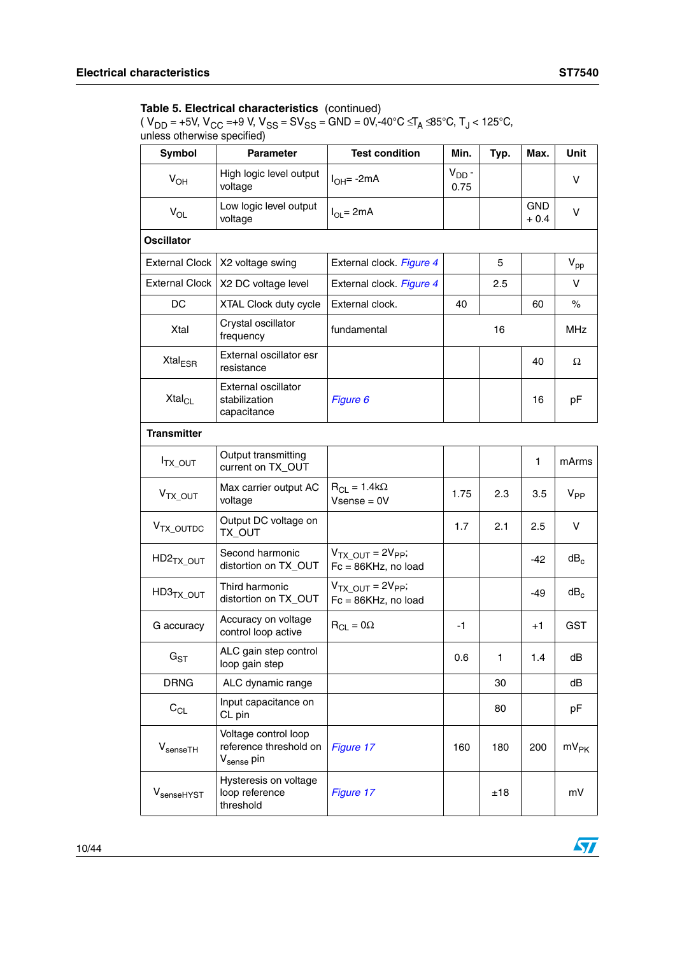| Symbol                     | <b>Parameter</b>                                                         | <b>Test condition</b>                            | Min.               | Typ. | Max.                | <b>Unit</b>     |
|----------------------------|--------------------------------------------------------------------------|--------------------------------------------------|--------------------|------|---------------------|-----------------|
| $V_{OH}$                   | High logic level output<br>voltage                                       | l <sub>OH</sub> = -2mA                           | $V_{DD}$ -<br>0.75 |      |                     | V               |
| $V_{OL}$                   | Low logic level output<br>voltage                                        | $I_{OL} = 2mA$                                   |                    |      | <b>GND</b><br>+ 0.4 | $\vee$          |
| <b>Oscillator</b>          |                                                                          |                                                  |                    |      |                     |                 |
| <b>External Clock</b>      | X2 voltage swing                                                         | External clock. Figure 4                         |                    | 5    |                     | $V_{\text{pp}}$ |
| <b>External Clock</b>      | X2 DC voltage level                                                      | External clock. Figure 4                         |                    | 2.5  |                     | $\vee$          |
| DC                         | XTAL Clock duty cycle                                                    | External clock.                                  | 40                 |      | 60                  | %               |
| Xtal                       | Crystal oscillator<br>frequency                                          | fundamental                                      |                    | 16   |                     | <b>MHz</b>      |
| Xtal <sub>ESR</sub>        | External oscillator esr<br>resistance                                    |                                                  |                    |      | 40                  | Ω               |
| Xtal <sub>Cl</sub>         | External oscillator<br>stabilization<br>capacitance                      | Figure 6                                         |                    |      | 16                  | pF              |
| <b>Transmitter</b>         |                                                                          |                                                  |                    |      |                     |                 |
| <sup>I</sup> TX_OUT        | Output transmitting<br>current on TX_OUT                                 |                                                  |                    |      | 1                   | mArms           |
| V <sub>TX_OUT</sub>        | Max carrier output AC<br>voltage                                         | $R_{CL} = 1.4k\Omega$<br>$V$ sense = $0V$        | 1.75               | 2.3  | 3.5                 | $V_{PP}$        |
| V <sub>TX_OUTDC</sub>      | Output DC voltage on<br>TX_OUT                                           |                                                  | 1.7                | 2.1  | 2.5                 | V               |
| HD2 <sub>TX_OUT</sub>      | Second harmonic<br>distortion on TX_OUT                                  | $VTX OUT = 2VPP;$<br>$Fc = 86KHz$ , no load      |                    |      | -42                 | dB <sub>c</sub> |
| $HD3TX_OUT$                | Third harmonic<br>distortion on TX_OUT                                   | $VTX$ $_{OUT}$ = $2VPP$ ;<br>Fc = 86KHz, no load |                    |      | -49                 | $dB_c$          |
| G accuracy                 | Accuracy on voltage<br>control loop active                               | $R_{CL} = 0\Omega$                               | -1                 |      | $+1$                | GST             |
| $\mathsf{G}_{\texttt{ST}}$ | ALC gain step control<br>loop gain step                                  |                                                  | 0.6                | 1    | 1.4                 | dB              |
| <b>DRNG</b>                | ALC dynamic range                                                        |                                                  |                    | 30   |                     | dB              |
| $C_{CL}$                   | Input capacitance on<br>CL pin                                           |                                                  |                    | 80   |                     | pF              |
| $V_{\text{senseTH}}$       | Voltage control loop<br>reference threshold on<br>V <sub>sense</sub> pin | Figure 17                                        | 160                | 180  | 200                 | $mV_{PK}$       |
| V <sub>senseHYST</sub>     | Hysteresis on voltage<br>loop reference<br>threshold                     | Figure 17                                        |                    | ±18  |                     | mV              |

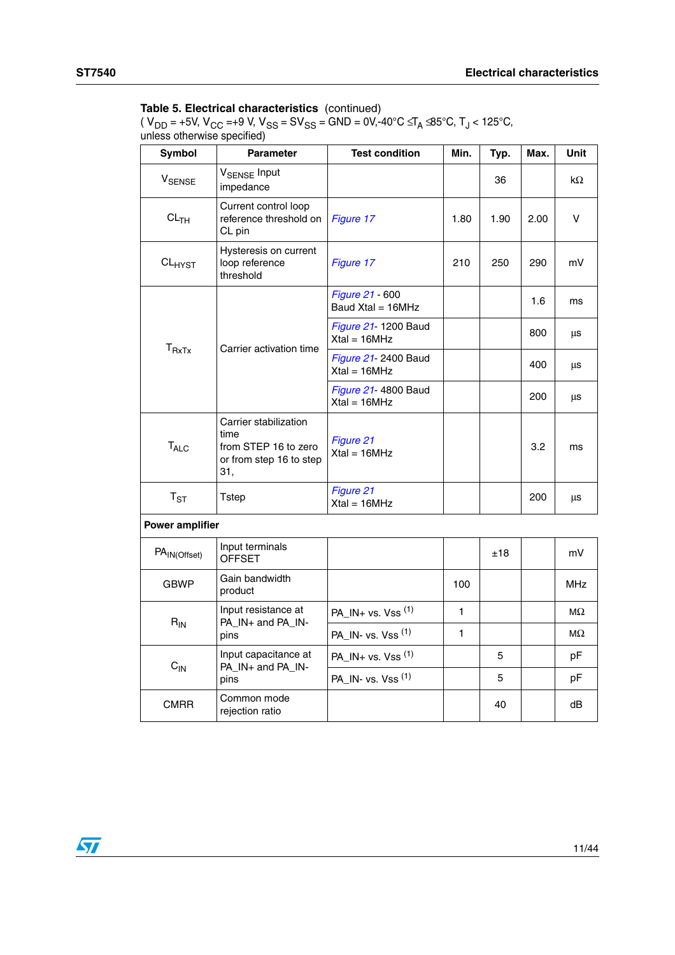| Symbol                   | <b>Parameter</b>                                                                        | <b>Test condition</b>                  | Min. | Typ. | Max. | <b>Unit</b> |
|--------------------------|-----------------------------------------------------------------------------------------|----------------------------------------|------|------|------|-------------|
| <b>V<sub>SENSE</sub></b> | V <sub>SENSE</sub> Input<br>impedance                                                   |                                        |      | 36   |      | $k\Omega$   |
| CL <sub>TH</sub>         | Current control loop<br>reference threshold on<br>CL pin                                | Figure 17                              | 1.80 | 1.90 | 2.00 | V           |
| $CL_{HYST}$              | Hysteresis on current<br>loop reference<br>threshold                                    | Figure 17                              | 210  | 250  | 290  | mV          |
|                          |                                                                                         | Figure 21 - 600<br>Baud Xtal = 16MHz   |      |      | 1.6  | ms          |
| $T_{RxTx}$               |                                                                                         | Figure 21- 1200 Baud<br>$Xtal = 16MHz$ |      |      | 800  | μs          |
|                          | Carrier activation time                                                                 | Figure 21- 2400 Baud<br>$Xtal = 16MHz$ |      |      | 400  | μs          |
|                          |                                                                                         | Figure 21- 4800 Baud<br>$Xtal = 16MHz$ |      |      | 200  | μs          |
| $T_{\sf ALC}$            | Carrier stabilization<br>time<br>from STEP 16 to zero<br>or from step 16 to step<br>31, | Figure 21<br>$Xtal = 16MHz$            |      |      | 3.2  | ms          |
| $T_{ST}$                 | <b>Tstep</b>                                                                            | Figure 21<br>$Xtal = 16MHZ$            |      |      | 200  | μs          |
| <b>Power amplifier</b>   |                                                                                         |                                        |      |      |      |             |
| PA <sub>IN(Offset)</sub> | Input terminals<br><b>OFFSET</b>                                                        |                                        |      | ±18  |      | mV          |
| <b>GBWP</b>              | Gain bandwidth<br>product                                                               |                                        | 100  |      |      | <b>MHz</b>  |
| $R_{IN}$                 | Input resistance at<br>PA_IN+ and PA_IN-                                                | PA_IN+ vs. Vss $^{(1)}$                | 1    |      |      | МΩ          |
|                          | pins                                                                                    | PA_IN- vs. Vss (1)                     | 1    |      |      | $M\Omega$   |
| $C_{IN}$                 | Input capacitance at<br>PA_IN+ and PA_IN-                                               | PA_IN+ vs. Vss $(1)$                   |      | 5    |      | рF          |
|                          | pins                                                                                    | PA_IN- vs. Vss (1)                     |      | 5    |      | рF          |
| <b>CMRR</b>              | Common mode<br>rejection ratio                                                          |                                        |      | 40   |      | dB          |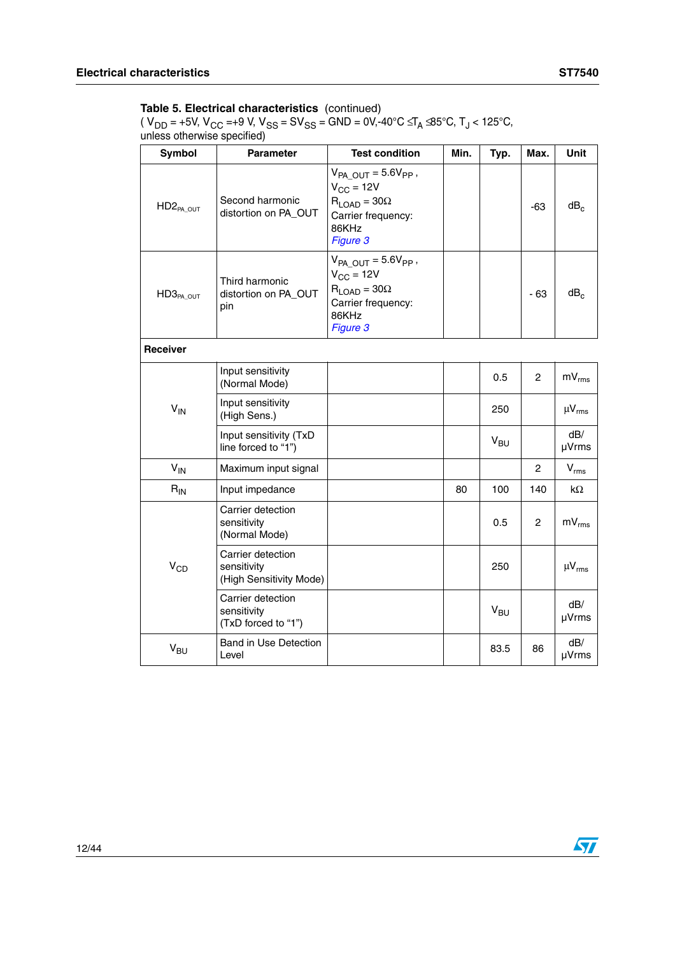| <b>Symbol</b>   | <b>Parameter</b>                                            | <b>Test condition</b>                                                                                                   | Min. | Typ.     | Max.           | <b>Unit</b>       |
|-----------------|-------------------------------------------------------------|-------------------------------------------------------------------------------------------------------------------------|------|----------|----------------|-------------------|
| $HD2_{PA\_OUT}$ | Second harmonic<br>distortion on PA_OUT                     | $V_{PA-OUT} = 5.6V_{PP}$ ,<br>$V_{CC}$ = 12V<br>$R_{\text{LOAD}} = 30\Omega$<br>Carrier frequency:<br>86KHz<br>Figure 3 |      |          | $-63$          | $dB_c$            |
| $HD3_{PA\_OUT}$ | Third harmonic<br>distortion on PA_OUT<br>pin               | $V_{PA-OUT} = 5.6V_{PP}$ ,<br>$V_{CC}$ = 12V<br>$R_{LOAD} = 30\Omega$<br>Carrier frequency:<br>86KHz<br>Figure 3        |      |          | $-63$          | dB <sub>c</sub>   |
| <b>Receiver</b> |                                                             |                                                                                                                         |      |          |                |                   |
|                 | Input sensitivity<br>(Normal Mode)                          |                                                                                                                         |      | 0.5      | $\overline{2}$ | $mV_{rms}$        |
| $V_{IN}$        | Input sensitivity<br>(High Sens.)                           |                                                                                                                         |      | 250      |                | $\mu V_{rms}$     |
|                 | Input sensitivity (TxD<br>line forced to "1")               |                                                                                                                         |      | $V_{BU}$ |                | dB/<br>µVrms      |
| $V_{IN}$        | Maximum input signal                                        |                                                                                                                         |      |          | $\overline{2}$ | $V_{rms}$         |
| $R_{IN}$        | Input impedance                                             |                                                                                                                         | 80   | 100      | 140            | $k\Omega$         |
|                 | Carrier detection<br>sensitivity<br>(Normal Mode)           |                                                                                                                         |      | 0.5      | $\mathbf{2}$   | $mV_{rms}$        |
| $V_{CD}$        | Carrier detection<br>sensitivity<br>(High Sensitivity Mode) |                                                                                                                         |      | 250      |                | $\mu V_{\rm rms}$ |
|                 | Carrier detection<br>sensitivity<br>(TxD forced to "1")     |                                                                                                                         |      | $V_{BU}$ |                | dB/<br>µVrms      |
| V <sub>BU</sub> | Band in Use Detection<br>Level                              |                                                                                                                         |      | 83.5     | 86             | dB/<br>µVrms      |

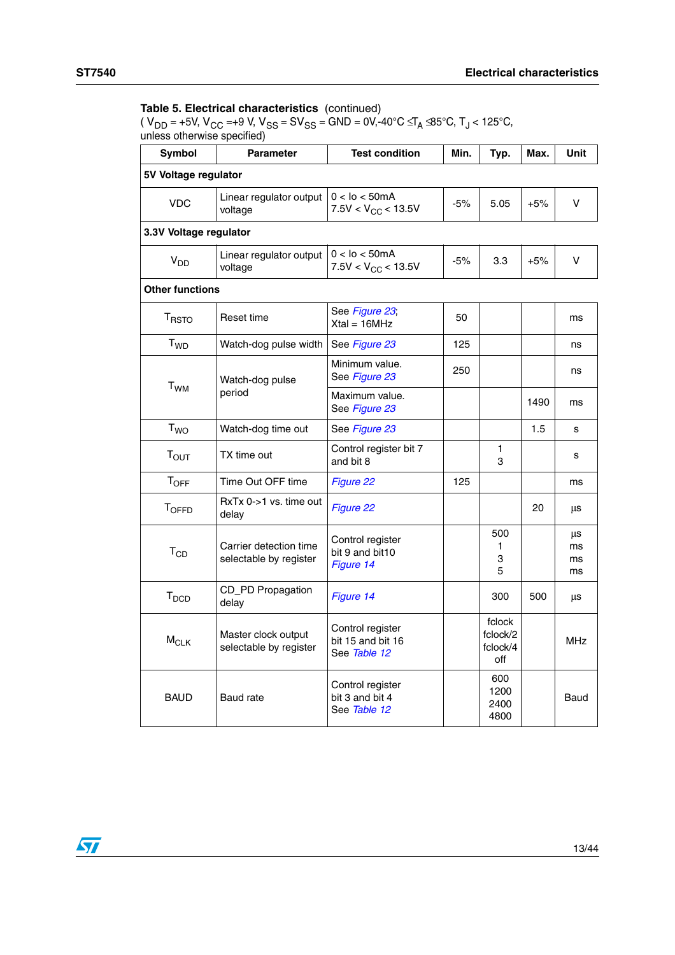| <b>Symbol</b>          | <b>Parameter</b>                                 | <b>Test condition</b>                                 | Min.  | Typ.                                  | Max.  | <b>Unit</b>          |
|------------------------|--------------------------------------------------|-------------------------------------------------------|-------|---------------------------------------|-------|----------------------|
| 5V Voltage regulator   |                                                  |                                                       |       |                                       |       |                      |
| <b>VDC</b>             | Linear regulator output<br>voltage               | $0 <$ Io $<$ 50mA<br>$-5%$<br>$7.5V < V_{CC}$ < 13.5V |       | 5.05                                  | $+5%$ | V                    |
| 3.3V Voltage regulator |                                                  |                                                       |       |                                       |       |                      |
| $V_{DD}$               | Linear regulator output<br>voltage               | $0 <$ lo $<$ 50mA<br>$7.5V < V_{CC}$ < 13.5V          | $-5%$ | 3.3                                   | $+5%$ | v                    |
| <b>Other functions</b> |                                                  |                                                       |       |                                       |       |                      |
| <b>TRSTO</b>           | Reset time                                       | See Figure 23,<br>$Xtal = 16MHz$                      | 50    |                                       |       | ms                   |
| T <sub>WD</sub>        | Watch-dog pulse width                            | See Figure 23                                         | 125   |                                       |       | ns                   |
| <b>T<sub>WM</sub></b>  | Watch-dog pulse                                  | Minimum value.<br>See Figure 23                       | 250   |                                       |       | ns                   |
|                        | period                                           | Maximum value.<br>See Figure 23                       |       |                                       | 1490  | ms                   |
| <b>T<sub>WO</sub></b>  | Watch-dog time out                               | See Figure 23                                         |       |                                       | 1.5   | s                    |
| T <sub>OUT</sub>       | TX time out                                      | Control register bit 7<br>and bit 8                   |       | 1<br>3                                |       | s                    |
| <b>TOFF</b>            | Time Out OFF time                                | Figure 22                                             | 125   |                                       |       | ms                   |
| <b>TOFFD</b>           | RxTx 0->1 vs. time out<br>delay                  | Figure 22                                             |       |                                       | 20    | μs                   |
| $T_{CD}$               | Carrier detection time<br>selectable by register | Control register<br>bit 9 and bit10<br>Figure 14      |       | 500<br>1<br>3<br>5                    |       | μs<br>ms<br>ms<br>ms |
| T <sub>DCD</sub>       | CD_PD Propagation<br>delay                       | Figure 14                                             |       | 300                                   | 500   | μs                   |
| $M_{CLK}$              | Master clock output<br>selectable by register    | Control register<br>bit 15 and bit 16<br>See Table 12 |       | fclock<br>fclock/2<br>fclock/4<br>off |       | <b>MHz</b>           |
| <b>BAUD</b>            | <b>Baud</b> rate                                 | Control register<br>bit 3 and bit 4<br>See Table 12   |       | 600<br>1200<br>2400<br>4800           |       | Baud                 |

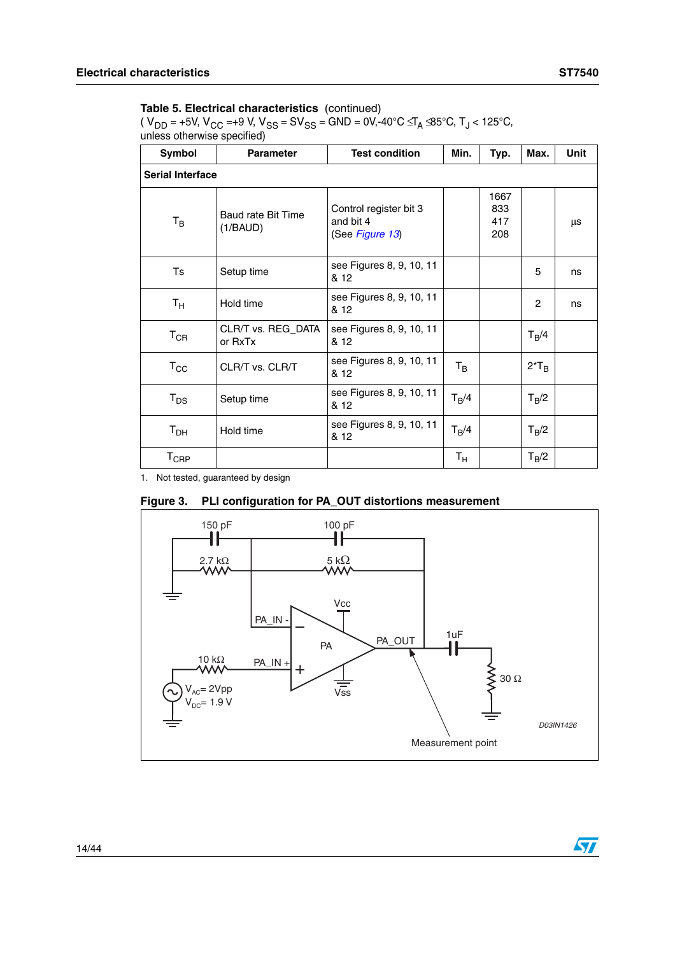$\sqrt{2}$ 

#### **Table 5. Electrical characteristics** (continued)

( V<sub>DD</sub> = +5V, V<sub>CC</sub> =+9 V, V<sub>SS</sub> = SV<sub>SS</sub> = GND = 0V,-40°C ≤T<sub>A</sub> ≤85°C, T<sub>J</sub> < 125°C, unless otherwise specified)

| Symbol                  | <b>Parameter</b>               | Min.                                                   | Typ.        | Max.                      | <b>Unit</b>    |    |  |  |  |
|-------------------------|--------------------------------|--------------------------------------------------------|-------------|---------------------------|----------------|----|--|--|--|
| <b>Serial Interface</b> |                                |                                                        |             |                           |                |    |  |  |  |
| $T_B$                   | Baud rate Bit Time<br>(1/BAUD) | Control register bit 3<br>and bit 4<br>(See Figure 13) |             | 1667<br>833<br>417<br>208 |                | μs |  |  |  |
| Ts                      | Setup time                     | see Figures 8, 9, 10, 11<br>& 12                       |             |                           | 5              | ns |  |  |  |
| $\mathsf{T}_\mathsf{H}$ | Hold time                      | see Figures 8, 9, 10, 11<br>& 12                       |             |                           | $\overline{c}$ | ns |  |  |  |
| $T_{CR}$                | CLR/T vs. REG_DATA<br>or RxTx  | see Figures 8, 9, 10, 11<br>& 12                       |             |                           | $T_B/4$        |    |  |  |  |
| $T_{\rm CC}$            | CLR/T vs. CLR/T                | see Figures 8, 9, 10, 11<br>& 12                       | $T_{\rm B}$ |                           | $2*T_B$        |    |  |  |  |
| $T_{DS}$                | Setup time                     | see Figures 8, 9, 10, 11<br>& 12                       | $T_B/4$     |                           | $T_B/2$        |    |  |  |  |
| $T_{\sf DH}$            | Hold time                      | see Figures 8, 9, 10, 11<br>& 12                       | $T_B/4$     |                           | $T_B/2$        |    |  |  |  |
| $T_{CRP}$               |                                |                                                        | $T_{\rm H}$ |                           | $T_B/2$        |    |  |  |  |

1. Not tested, guaranteed by design

#### <span id="page-13-0"></span>**Figure 3. PLI configuration for PA\_OUT distortions measurement**

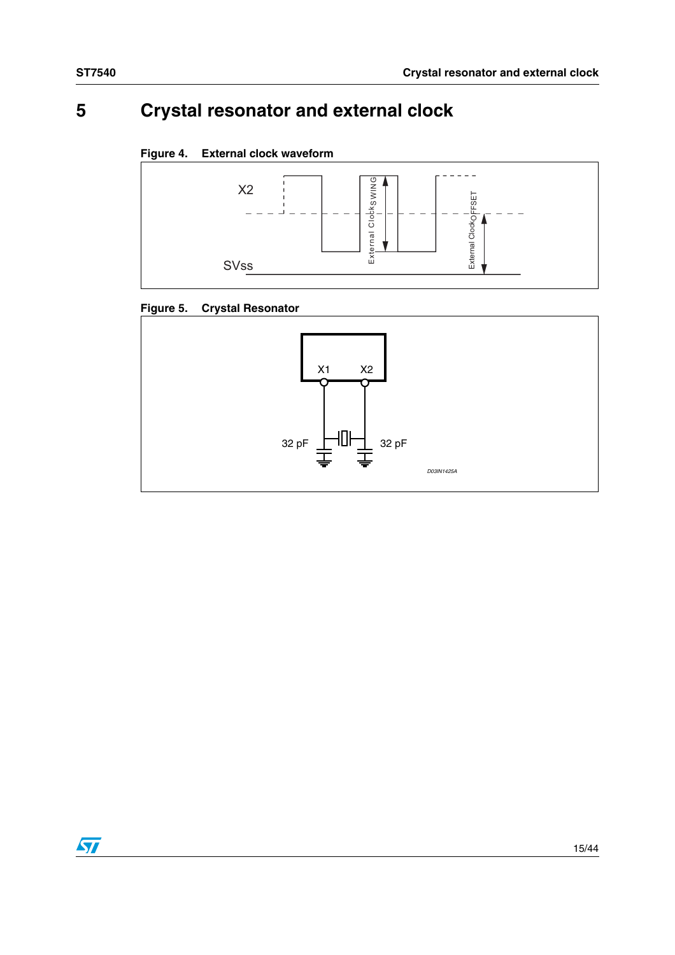# <span id="page-14-0"></span>**5 Crystal resonator and external clock**

### <span id="page-14-1"></span>**Figure 4. External clock waveform**



## **Figure 5. Crystal Resonator**



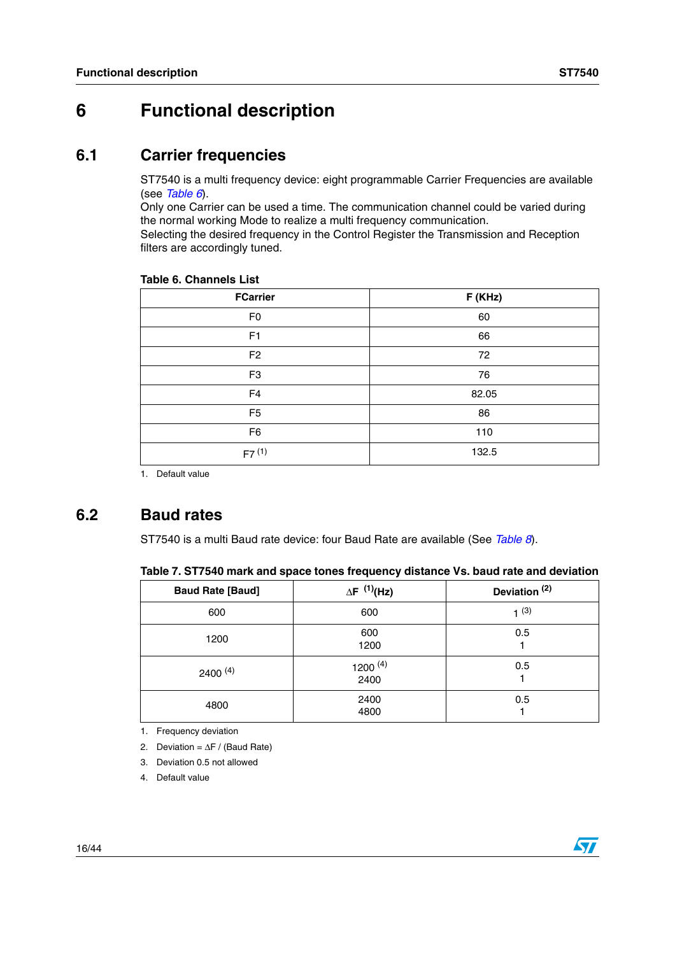# <span id="page-15-0"></span>**6 Functional description**

# <span id="page-15-1"></span>**6.1 Carrier frequencies**

ST7540 is a multi frequency device: eight programmable Carrier Frequencies are available (see *[Table 6](#page-15-3)*).

Only one Carrier can be used a time. The communication channel could be varied during the normal working Mode to realize a multi frequency communication.

Selecting the desired frequency in the Control Register the Transmission and Reception filters are accordingly tuned.

| <b>FCarrier</b> | F (KHz) |
|-----------------|---------|
| F <sub>0</sub>  | 60      |
| F1              | 66      |
| F <sub>2</sub>  | 72      |
| F <sub>3</sub>  | 76      |
| F <sub>4</sub>  | 82.05   |
| F <sub>5</sub>  | 86      |
| F <sub>6</sub>  | 110     |
| $F7^{(1)}$      | 132.5   |

#### <span id="page-15-3"></span>**Table 6. Channels List**

1. Default value

# <span id="page-15-2"></span>**6.2 Baud rates**

ST7540 is a multi Baud rate device: four Baud Rate are available (See *[Table 8](#page-16-1)*).

| <b>Baud Rate [Baud]</b> | $\Delta F^{(1)}(Hz)$ | Deviation <sup>(2)</sup> |
|-------------------------|----------------------|--------------------------|
| 600                     | 600                  | $1^{(3)}$                |
| 1200                    | 600<br>1200          | 0.5                      |
| $2400^{(4)}$            | 1200 $(4)$<br>2400   | 0.5                      |
| 4800                    | 2400<br>4800         | 0.5                      |

1. Frequency deviation

2. Deviation = ∆F / (Baud Rate)

- 3. Deviation 0.5 not allowed
- 4. Default value

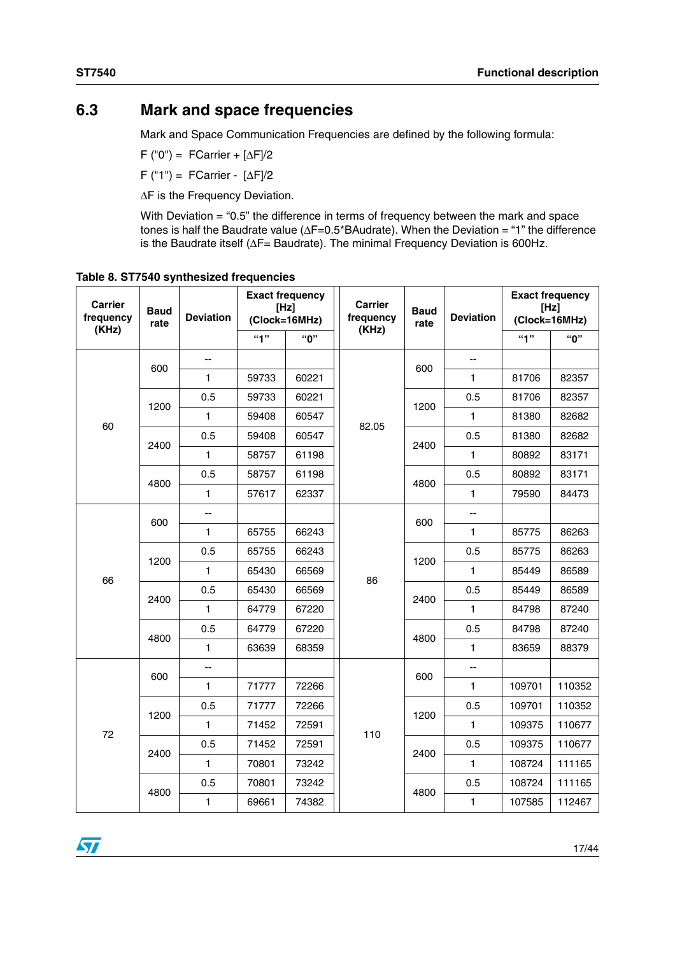# <span id="page-16-0"></span>**6.3 Mark and space frequencies**

Mark and Space Communication Frequencies are defined by the following formula:

F ("0") = FCarrier +  $[\Delta F]/2$ 

F ("1") = FCarrier - [∆F]/2

∆F is the Frequency Deviation.

With Deviation = "0.5" the difference in terms of frequency between the mark and space tones is half the Baudrate value (∆F=0.5\*BAudrate). When the Deviation = "1" the difference is the Baudrate itself (∆F= Baudrate). The minimal Frequency Deviation is 600Hz.

| <b>Carrier</b><br><b>Baud</b><br>frequency<br>rate |      | <b>Deviation</b> | <b>Exact frequency</b><br>[Hz]<br>(Clock=16MHz) |       | <b>Carrier</b><br>frequency | <b>Baud</b><br>rate | <b>Deviation</b> | <b>Exact frequency</b><br>[Hz]<br>(Clock=16MHz) |        |
|----------------------------------------------------|------|------------------|-------------------------------------------------|-------|-----------------------------|---------------------|------------------|-------------------------------------------------|--------|
| (KHz)                                              |      |                  | 4"                                              | "በ"   | (KHz)                       |                     |                  | 4                                               | "በ"    |
|                                                    | 600  | Ξ.               |                                                 |       |                             | 600                 | цц.              |                                                 |        |
|                                                    |      | $\mathbf{1}$     | 59733                                           | 60221 |                             |                     | 1                | 81706                                           | 82357  |
|                                                    | 1200 | 0.5              | 59733                                           | 60221 |                             | 1200                | 0.5              | 81706                                           | 82357  |
| 60                                                 |      | 1                | 59408                                           | 60547 | 82.05                       |                     | 1                | 81380                                           | 82682  |
|                                                    | 2400 | 0.5              | 59408                                           | 60547 |                             | 2400                | 0.5              | 81380                                           | 82682  |
|                                                    |      | $\mathbf{1}$     | 58757                                           | 61198 |                             |                     | $\mathbf{1}$     | 80892                                           | 83171  |
|                                                    | 4800 | 0.5              | 58757                                           | 61198 |                             | 4800                | 0.5              | 80892                                           | 83171  |
|                                                    |      | 1                | 57617                                           | 62337 |                             |                     | 1                | 79590                                           | 84473  |
|                                                    |      | Ш,               |                                                 |       |                             | 600                 | uu               |                                                 |        |
|                                                    | 600  | $\mathbf{1}$     | 65755                                           | 66243 | 86                          |                     | 1                | 85775                                           | 86263  |
|                                                    | 1200 | 0.5              | 65755                                           | 66243 |                             | 1200                | 0.5              | 85775                                           | 86263  |
| 66                                                 |      | 1                | 65430                                           | 66569 |                             |                     | 1                | 85449                                           | 86589  |
|                                                    | 2400 | 0.5              | 65430                                           | 66569 |                             | 2400                | 0.5              | 85449                                           | 86589  |
|                                                    |      | $\mathbf{1}$     | 64779                                           | 67220 |                             |                     | $\mathbf{1}$     | 84798                                           | 87240  |
|                                                    |      | 0.5              | 64779                                           | 67220 |                             | 4800                | 0.5              | 84798                                           | 87240  |
|                                                    | 4800 | 1                | 63639                                           | 68359 |                             |                     | $\mathbf{1}$     | 83659                                           | 88379  |
|                                                    | 600  | --               |                                                 |       |                             | 600                 | --               |                                                 |        |
|                                                    |      | 1                | 71777                                           | 72266 |                             |                     | 1                | 109701                                          | 110352 |
|                                                    | 1200 | 0.5              | 71777                                           | 72266 |                             | 1200                | 0.5              | 109701                                          | 110352 |
| 72                                                 |      | 1                | 71452                                           | 72591 | 110                         |                     | 1                | 109375                                          | 110677 |
|                                                    | 2400 | 0.5              | 71452                                           | 72591 |                             | 2400                | 0.5              | 109375                                          | 110677 |
|                                                    |      | 1                | 70801                                           | 73242 |                             |                     | 1                | 108724                                          | 111165 |
|                                                    |      | 0.5              | 70801                                           | 73242 |                             |                     | 0.5              | 108724                                          | 111165 |
|                                                    | 4800 | 1                | 69661                                           | 74382 |                             | 4800                | 1                | 107585                                          | 112467 |

<span id="page-16-1"></span>**Table 8. ST7540 synthesized frequencies** 

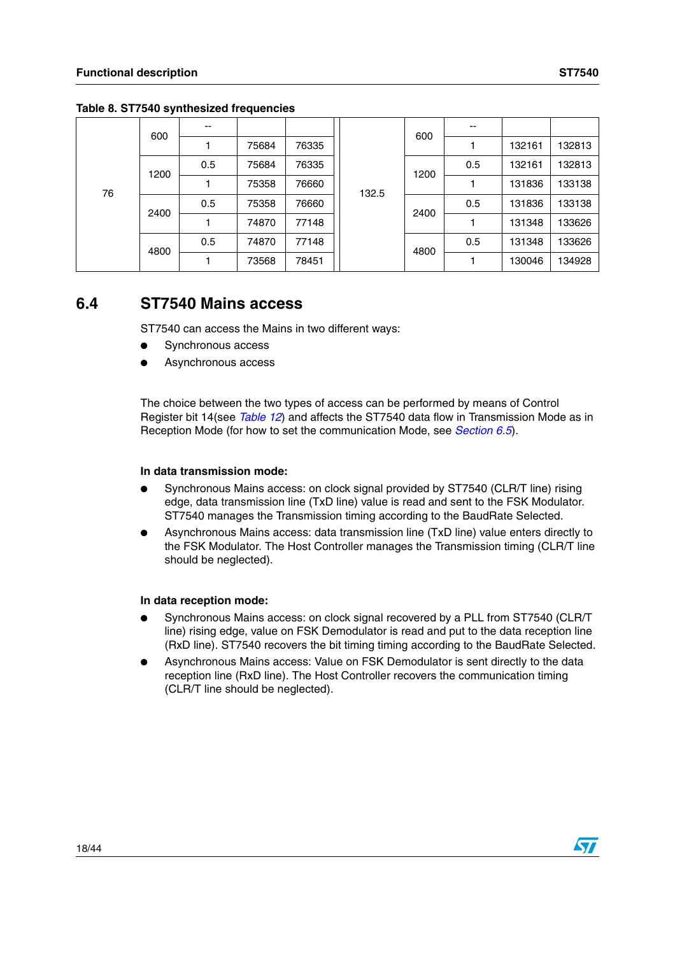|    | 600  | --  |       |       |       | 600  | --  |        |        |
|----|------|-----|-------|-------|-------|------|-----|--------|--------|
| 76 |      |     | 75684 | 76335 |       |      |     | 132161 | 132813 |
|    | 1200 | 0.5 | 75684 | 76335 |       | 1200 | 0.5 | 132161 | 132813 |
|    |      |     | 75358 | 76660 | 132.5 |      |     | 131836 | 133138 |
|    | 2400 | 0.5 | 75358 | 76660 |       | 2400 | 0.5 | 131836 | 133138 |
|    |      |     | 74870 | 77148 |       |      |     | 131348 | 133626 |
|    | 4800 | 0.5 | 74870 | 77148 |       | 4800 | 0.5 | 131348 | 133626 |
|    |      |     | 73568 | 78451 |       |      |     | 130046 | 134928 |

**Table 8. ST7540 synthesized frequencies** 

# <span id="page-17-0"></span>**6.4 ST7540 Mains access**

ST7540 can access the Mains in two different ways:

- Synchronous access
- Asynchronous access

The choice between the two types of access can be performed by means of Control Register bit 14(see *[Table 12](#page-32-0)*) and affects the ST7540 data flow in Transmission Mode as in Reception Mode (for how to set the communication Mode, see *[Section 6.5](#page-18-0)*).

#### **In data transmission mode:**

- Synchronous Mains access: on clock signal provided by ST7540 (CLR/T line) rising edge, data transmission line (TxD line) value is read and sent to the FSK Modulator. ST7540 manages the Transmission timing according to the BaudRate Selected.
- Asynchronous Mains access: data transmission line (TxD line) value enters directly to the FSK Modulator. The Host Controller manages the Transmission timing (CLR/T line should be neglected).

#### **In data reception mode:**

- Synchronous Mains access: on clock signal recovered by a PLL from ST7540 (CLR/T) line) rising edge, value on FSK Demodulator is read and put to the data reception line (RxD line). ST7540 recovers the bit timing timing according to the BaudRate Selected.
- Asynchronous Mains access: Value on FSK Demodulator is sent directly to the data reception line (RxD line). The Host Controller recovers the communication timing (CLR/T line should be neglected).

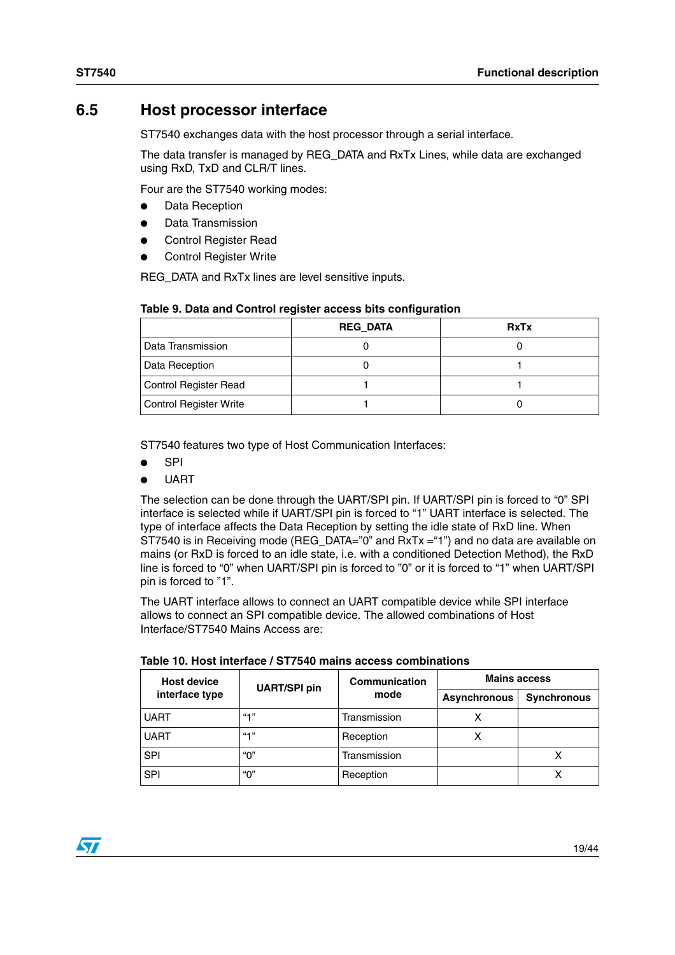# <span id="page-18-0"></span>**6.5 Host processor interface**

ST7540 exchanges data with the host processor through a serial interface.

The data transfer is managed by REG\_DATA and RxTx Lines, while data are exchanged using RxD, TxD and CLR/T lines.

Four are the ST7540 working modes:

- **Data Reception**
- Data Transmission
- **Control Register Read**
- **Control Register Write**

REG\_DATA and RxTx lines are level sensitive inputs.

|  |  |  | Table 9. Data and Control register access bits configuration |  |
|--|--|--|--------------------------------------------------------------|--|

|                        | <b>REG DATA</b> | <b>RxTx</b> |
|------------------------|-----------------|-------------|
| l Data Transmission    |                 |             |
| Data Reception         |                 |             |
| Control Register Read  |                 |             |
| Control Register Write |                 |             |

ST7540 features two type of Host Communication Interfaces:

- **SPI**
- **UART**

The selection can be done through the UART/SPI pin. If UART/SPI pin is forced to "0" SPI interface is selected while if UART/SPI pin is forced to "1" UART interface is selected. The type of interface affects the Data Reception by setting the idle state of RxD line. When ST7540 is in Receiving mode (REG\_DATA="0" and RxTx ="1") and no data are available on mains (or RxD is forced to an idle state, i.e. with a conditioned Detection Method), the RxD line is forced to "0" when UART/SPI pin is forced to "0" or it is forced to "1" when UART/SPI pin is forced to "1".

The UART interface allows to connect an UART compatible device while SPI interface allows to connect an SPI compatible device. The allowed combinations of Host Interface/ST7540 Mains Access are:

| <b>Host device</b> | <b>UART/SPI pin</b> | Communication | <b>Mains access</b> |             |  |  |
|--------------------|---------------------|---------------|---------------------|-------------|--|--|
| interface type     |                     | mode          | <b>Asynchronous</b> | Synchronous |  |  |
| <b>UART</b>        | $66 - 13$           | Transmission  |                     |             |  |  |
| <b>UART</b>        | $66 - 13$           | Reception     |                     |             |  |  |
| <b>SPI</b>         | "በ"                 | Transmission  |                     |             |  |  |
| <b>SPI</b>         | "0"                 | Reception     |                     |             |  |  |

|  |  |  | Table 10. Host interface / ST7540 mains access combinations |
|--|--|--|-------------------------------------------------------------|
|  |  |  |                                                             |

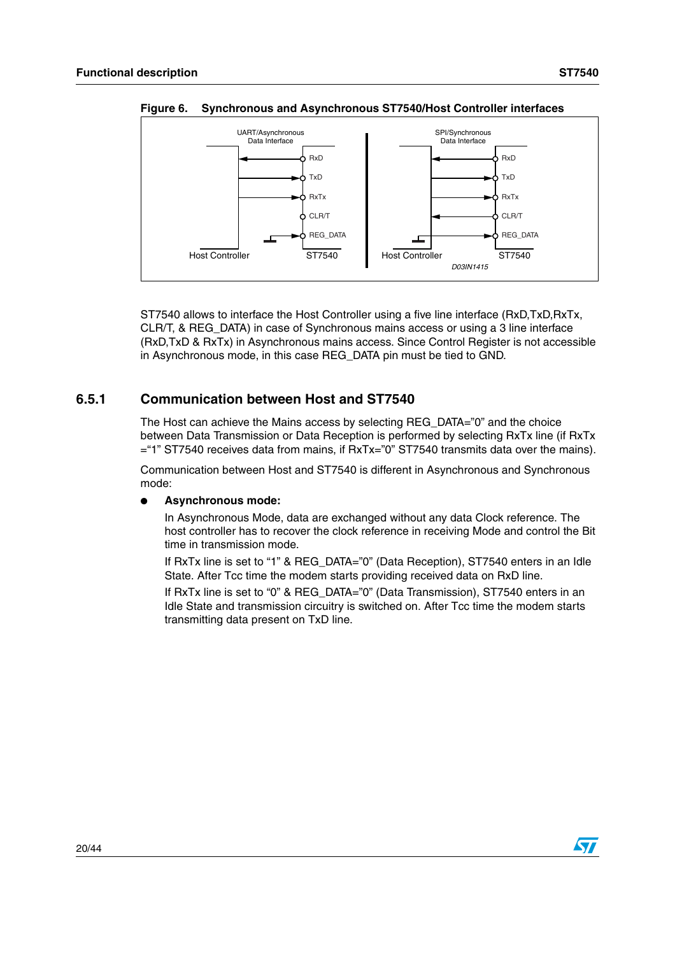

<span id="page-19-1"></span>**Figure 6. Synchronous and Asynchronous ST7540/Host Controller interfaces**

ST7540 allows to interface the Host Controller using a five line interface (RxD,TxD,RxTx, CLR/T, & REG\_DATA) in case of Synchronous mains access or using a 3 line interface (RxD,TxD & RxTx) in Asynchronous mains access. Since Control Register is not accessible in Asynchronous mode, in this case REG\_DATA pin must be tied to GND.

#### <span id="page-19-0"></span>**6.5.1 Communication between Host and ST7540**

The Host can achieve the Mains access by selecting REG\_DATA="0" and the choice between Data Transmission or Data Reception is performed by selecting RxTx line (if RxTx ="1" ST7540 receives data from mains, if RxTx="0" ST7540 transmits data over the mains).

Communication between Host and ST7540 is different in Asynchronous and Synchronous mode:

#### ● **Asynchronous mode:**

In Asynchronous Mode, data are exchanged without any data Clock reference. The host controller has to recover the clock reference in receiving Mode and control the Bit time in transmission mode.

If RxTx line is set to "1" & REG DATA="0" (Data Reception), ST7540 enters in an Idle State. After Tcc time the modem starts providing received data on RxD line.

If RxTx line is set to "0" & REG\_DATA="0" (Data Transmission), ST7540 enters in an Idle State and transmission circuitry is switched on. After Tcc time the modem starts transmitting data present on TxD line.





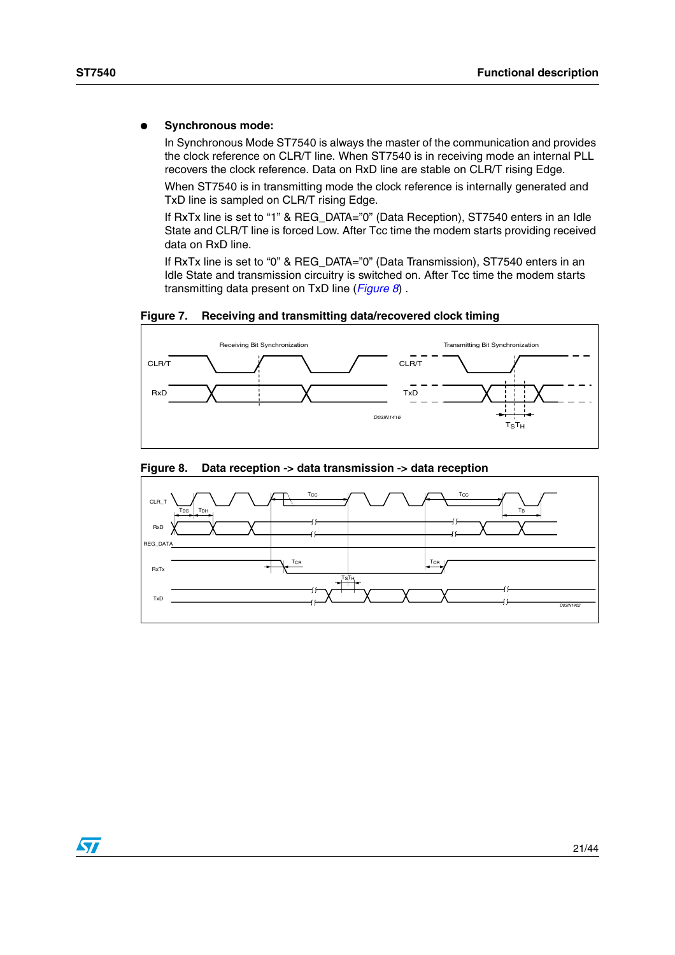#### ● **Synchronous mode:**

In Synchronous Mode ST7540 is always the master of the communication and provides the clock reference on CLR/T line. When ST7540 is in receiving mode an internal PLL recovers the clock reference. Data on RxD line are stable on CLR/T rising Edge.

When ST7540 is in transmitting mode the clock reference is internally generated and TxD line is sampled on CLR/T rising Edge.

If RxTx line is set to "1" & REG\_DATA="0" (Data Reception), ST7540 enters in an Idle State and CLR/T line is forced Low. After Tcc time the modem starts providing received data on RxD line.

If RxTx line is set to "0" & REG\_DATA="0" (Data Transmission), ST7540 enters in an Idle State and transmission circuitry is switched on. After Tcc time the modem starts transmitting data present on TxD line (*[Figure 8](#page-20-0)*) .





<span id="page-20-0"></span>

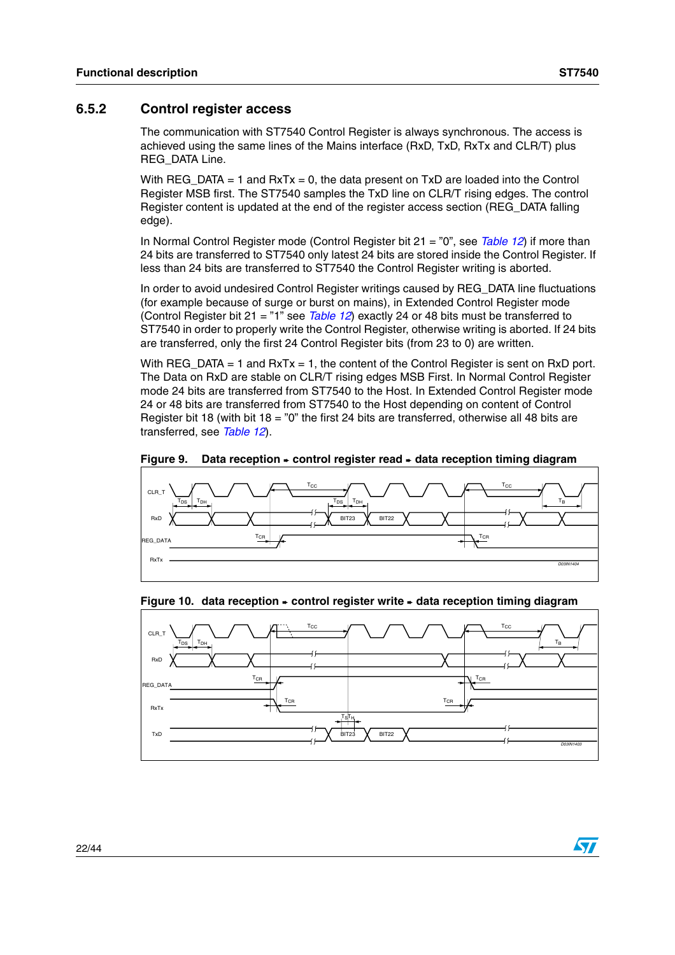#### <span id="page-21-0"></span>**6.5.2 Control register access**

The communication with ST7540 Control Register is always synchronous. The access is achieved using the same lines of the Mains interface (RxD, TxD, RxTx and CLR/T) plus REG\_DATA Line.

With  $REG\_DATA = 1$  and  $RxTx = 0$ , the data present on  $TxD$  are loaded into the Control Register MSB first. The ST7540 samples the TxD line on CLR/T rising edges. The control Register content is updated at the end of the register access section (REG\_DATA falling edge).

In Normal Control Register mode (Control Register bit 21 = "0", see *[Table 12](#page-32-0)*) if more than 24 bits are transferred to ST7540 only latest 24 bits are stored inside the Control Register. If less than 24 bits are transferred to ST7540 the Control Register writing is aborted.

In order to avoid undesired Control Register writings caused by REG\_DATA line fluctuations (for example because of surge or burst on mains), in Extended Control Register mode (Control Register bit 21 = "1" see *[Table 12](#page-32-0)*) exactly 24 or 48 bits must be transferred to ST7540 in order to properly write the Control Register, otherwise writing is aborted. If 24 bits are transferred, only the first 24 Control Register bits (from 23 to 0) are written.

With REG DATA  $= 1$  and RxTx  $= 1$ , the content of the Control Register is sent on RxD port. The Data on RxD are stable on CLR/T rising edges MSB First. In Normal Control Register mode 24 bits are transferred from ST7540 to the Host. In Extended Control Register mode 24 or 48 bits are transferred from ST7540 to the Host depending on content of Control Register bit 18 (with bit 18 = "0" the first 24 bits are transferred, otherwise all 48 bits are transferred, see *[Table 12](#page-32-0)*).

<span id="page-21-1"></span>**Figure 9. Data reception** ➨ **control register read** ➨ **data reception timing diagram**



#### <span id="page-21-2"></span>**Figure 10. data reception** ➨ **control register write** ➨ **data reception timing diagram**



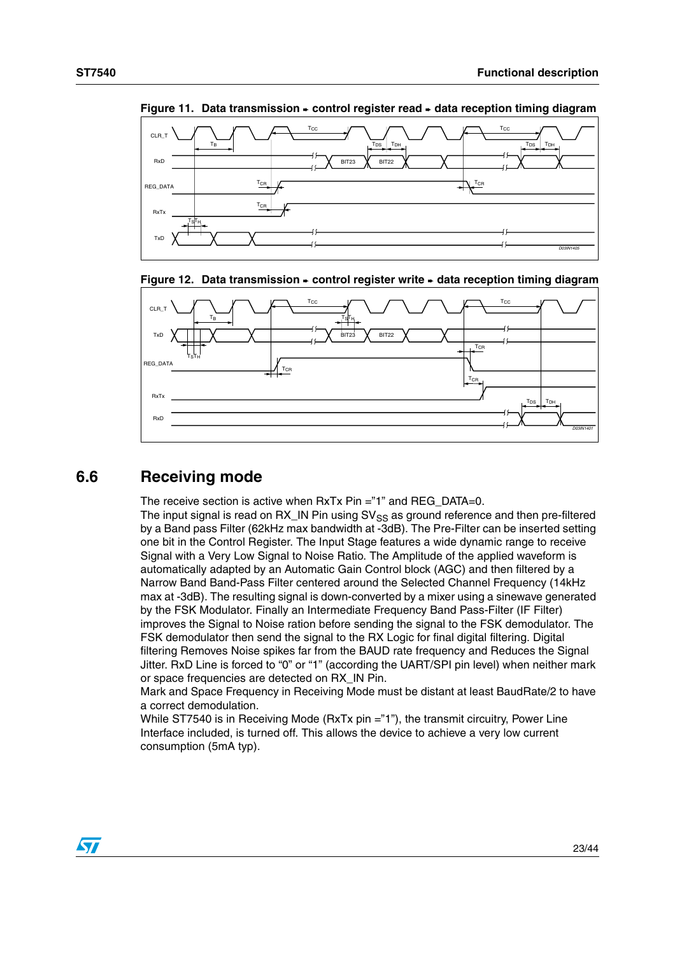

<span id="page-22-1"></span>**Figure 11. Data transmission** ➨ **control register read** ➨ **data reception timing diagram**

<span id="page-22-2"></span>



# <span id="page-22-0"></span>**6.6 Receiving mode**

The receive section is active when RxTx Pin ="1" and REG\_DATA=0.

The input signal is read on  $RX$ <sub>IN</sub> Pin using  $SV_{SS}$  as ground reference and then pre-filtered by a Band pass Filter (62kHz max bandwidth at -3dB). The Pre-Filter can be inserted setting one bit in the Control Register. The Input Stage features a wide dynamic range to receive Signal with a Very Low Signal to Noise Ratio. The Amplitude of the applied waveform is automatically adapted by an Automatic Gain Control block (AGC) and then filtered by a Narrow Band Band-Pass Filter centered around the Selected Channel Frequency (14kHz max at -3dB). The resulting signal is down-converted by a mixer using a sinewave generated by the FSK Modulator. Finally an Intermediate Frequency Band Pass-Filter (IF Filter) improves the Signal to Noise ration before sending the signal to the FSK demodulator. The FSK demodulator then send the signal to the RX Logic for final digital filtering. Digital filtering Removes Noise spikes far from the BAUD rate frequency and Reduces the Signal Jitter. RxD Line is forced to "0" or "1" (according the UART/SPI pin level) when neither mark or space frequencies are detected on RX\_IN Pin.

Mark and Space Frequency in Receiving Mode must be distant at least BaudRate/2 to have a correct demodulation.

While ST7540 is in Receiving Mode (RxTx pin ="1"), the transmit circuitry, Power Line Interface included, is turned off. This allows the device to achieve a very low current consumption (5mA typ).

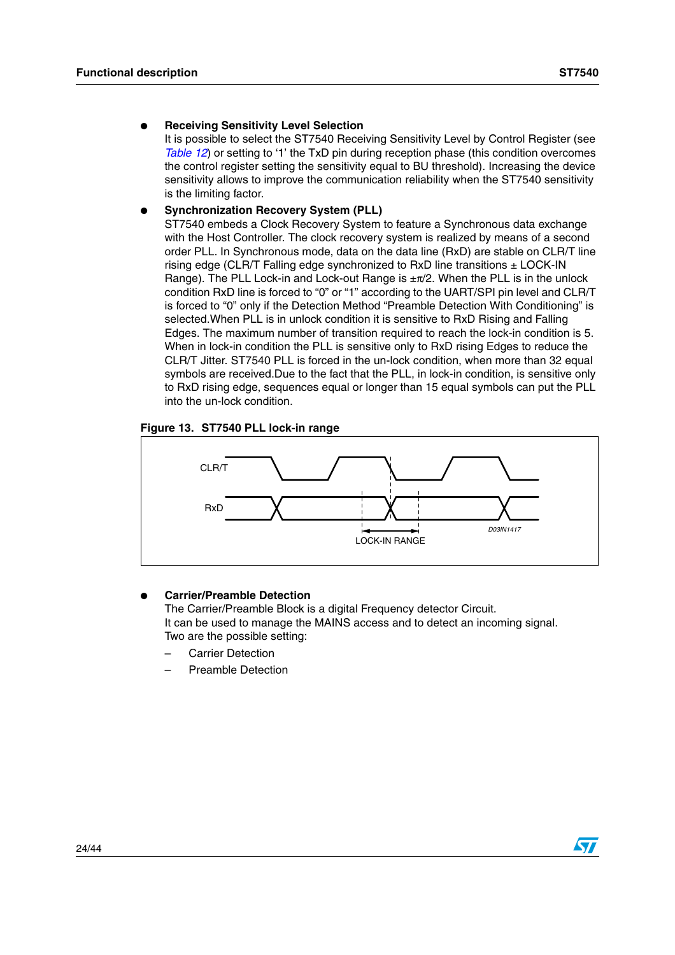#### **Receiving Sensitivity Level Selection**

It is possible to select the ST7540 Receiving Sensitivity Level by Control Register (see *[Table 12](#page-32-0)*) or setting to '1' the TxD pin during reception phase (this condition overcomes the control register setting the sensitivity equal to BU threshold). Increasing the device sensitivity allows to improve the communication reliability when the ST7540 sensitivity is the limiting factor.

#### **Synchronization Recovery System (PLL)**

ST7540 embeds a Clock Recovery System to feature a Synchronous data exchange with the Host Controller. The clock recovery system is realized by means of a second order PLL. In Synchronous mode, data on the data line (RxD) are stable on CLR/T line rising edge (CLR/T Falling edge synchronized to RxD line transitions ± LOCK-IN Range). The PLL Lock-in and Lock-out Range is ±π/2. When the PLL is in the unlock condition RxD line is forced to "0" or "1" according to the UART/SPI pin level and CLR/T is forced to "0" only if the Detection Method "Preamble Detection With Conditioning" is selected.When PLL is in unlock condition it is sensitive to RxD Rising and Falling Edges. The maximum number of transition required to reach the lock-in condition is 5. When in lock-in condition the PLL is sensitive only to RxD rising Edges to reduce the CLR/T Jitter. ST7540 PLL is forced in the un-lock condition, when more than 32 equal symbols are received.Due to the fact that the PLL, in lock-in condition, is sensitive only to RxD rising edge, sequences equal or longer than 15 equal symbols can put the PLL into the un-lock condition.

#### <span id="page-23-0"></span>**Figure 13. ST7540 PLL lock-in range**



#### **Carrier/Preamble Detection**

The Carrier/Preamble Block is a digital Frequency detector Circuit. It can be used to manage the MAINS access and to detect an incoming signal. Two are the possible setting:

- Carrier Detection
- Preamble Detection

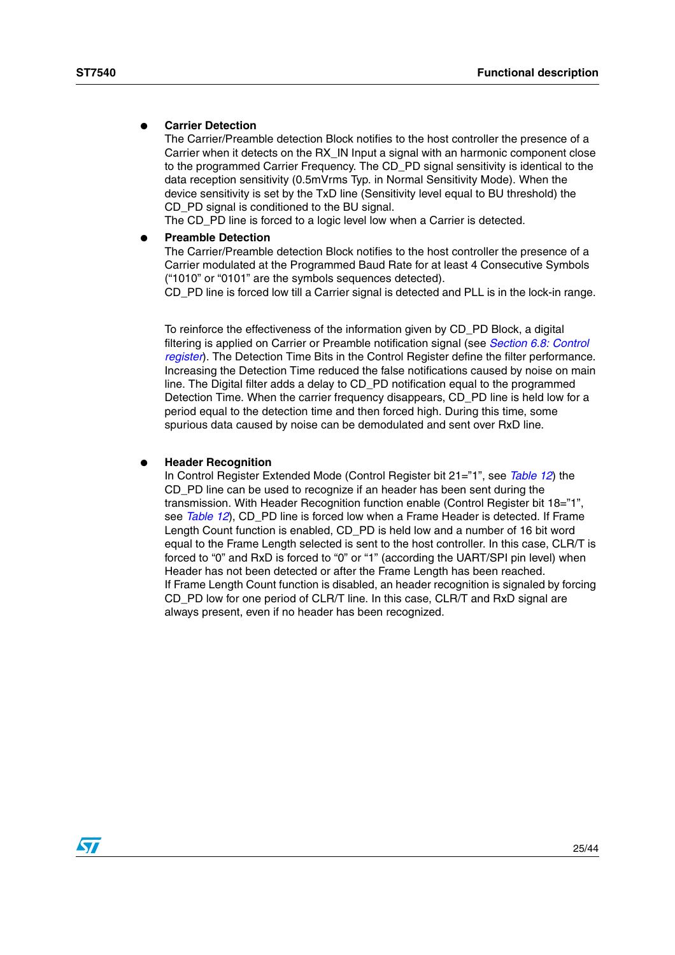#### **Carrier Detection**

The Carrier/Preamble detection Block notifies to the host controller the presence of a Carrier when it detects on the RX\_IN Input a signal with an harmonic component close to the programmed Carrier Frequency. The CD\_PD signal sensitivity is identical to the data reception sensitivity (0.5mVrms Typ. in Normal Sensitivity Mode). When the device sensitivity is set by the TxD line (Sensitivity level equal to BU threshold) the CD PD signal is conditioned to the BU signal.

The CD\_PD line is forced to a logic level low when a Carrier is detected.

#### **Preamble Detection**

The Carrier/Preamble detection Block notifies to the host controller the presence of a Carrier modulated at the Programmed Baud Rate for at least 4 Consecutive Symbols ("1010" or "0101" are the symbols sequences detected).

CD PD line is forced low till a Carrier signal is detected and PLL is in the lock-in range.

To reinforce the effectiveness of the information given by CD\_PD Block, a digital filtering is applied on Carrier or Preamble notification signal (see *[Section 6.8: Control](#page-31-0)  [register](#page-31-0)*). The Detection Time Bits in the Control Register define the filter performance. Increasing the Detection Time reduced the false notifications caused by noise on main line. The Digital filter adds a delay to CD\_PD notification equal to the programmed Detection Time. When the carrier frequency disappears, CD, PD line is held low for a period equal to the detection time and then forced high. During this time, some spurious data caused by noise can be demodulated and sent over RxD line.

#### **Header Recognition**

In Control Register Extended Mode (Control Register bit 21="1", see *[Table 12](#page-32-0)*) the CD\_PD line can be used to recognize if an header has been sent during the transmission. With Header Recognition function enable (Control Register bit 18="1", see *[Table 12](#page-32-0)*), CD\_PD line is forced low when a Frame Header is detected. If Frame Length Count function is enabled, CD\_PD is held low and a number of 16 bit word equal to the Frame Length selected is sent to the host controller. In this case, CLR/T is forced to "0" and RxD is forced to "0" or "1" (according the UART/SPI pin level) when Header has not been detected or after the Frame Length has been reached. If Frame Length Count function is disabled, an header recognition is signaled by forcing CD PD low for one period of CLR/T line. In this case, CLR/T and RxD signal are always present, even if no header has been recognized.

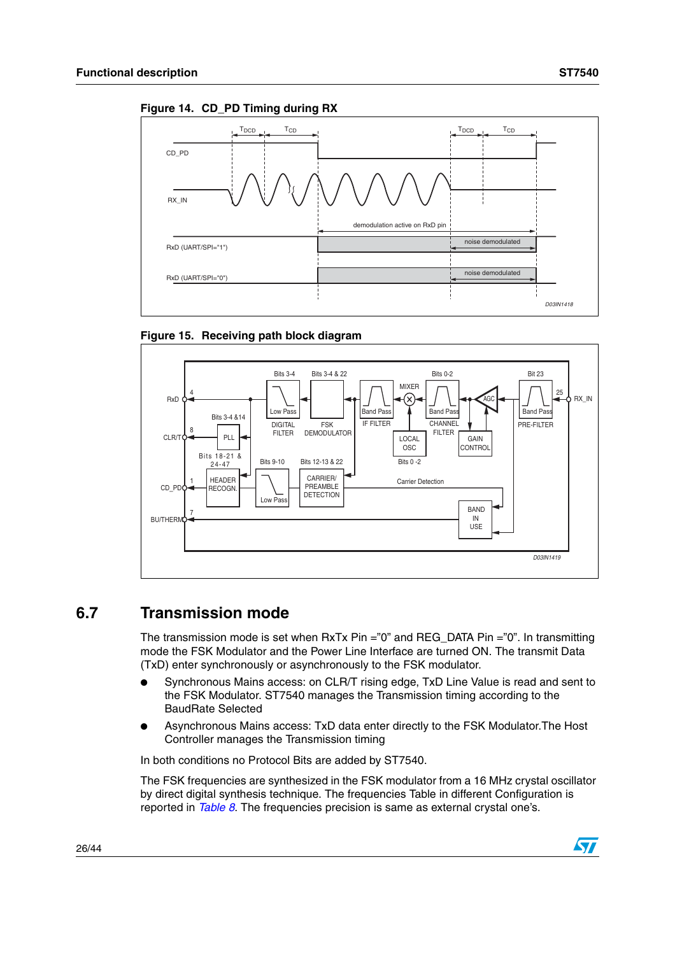<span id="page-25-1"></span>





# <span id="page-25-0"></span>**6.7 Transmission mode**

The transmission mode is set when  $RxTx$  Pin ="0" and REG\_DATA Pin ="0". In transmitting mode the FSK Modulator and the Power Line Interface are turned ON. The transmit Data (TxD) enter synchronously or asynchronously to the FSK modulator.

- Synchronous Mains access: on CLR/T rising edge, TxD Line Value is read and sent to the FSK Modulator. ST7540 manages the Transmission timing according to the BaudRate Selected
- Asynchronous Mains access: TxD data enter directly to the FSK Modulator. The Host Controller manages the Transmission timing

In both conditions no Protocol Bits are added by ST7540.

The FSK frequencies are synthesized in the FSK modulator from a 16 MHz crystal oscillator by direct digital synthesis technique. The frequencies Table in different Configuration is reported in *Table 8*. The frequencies precision is same as external crystal one's.

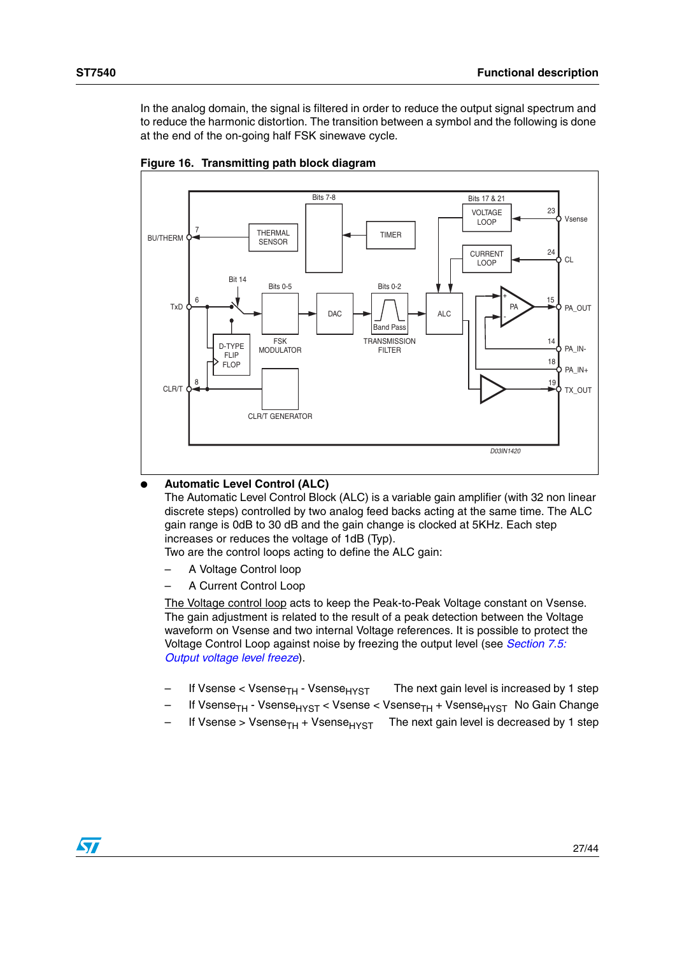In the analog domain, the signal is filtered in order to reduce the output signal spectrum and to reduce the harmonic distortion. The transition between a symbol and the following is done at the end of the on-going half FSK sinewave cycle.



**Figure 16. Transmitting path block diagram**

#### **Automatic Level Control (ALC)**

The Automatic Level Control Block (ALC) is a variable gain amplifier (with 32 non linear discrete steps) controlled by two analog feed backs acting at the same time. The ALC gain range is 0dB to 30 dB and the gain change is clocked at 5KHz. Each step increases or reduces the voltage of 1dB (Typ).

Two are the control loops acting to define the ALC gain:

- A Voltage Control loop
- A Current Control Loop

The Voltage control loop acts to keep the Peak-to-Peak Voltage constant on Vsense. The gain adjustment is related to the result of a peak detection between the Voltage waveform on Vsense and two internal Voltage references. It is possible to protect the Voltage Control Loop against noise by freezing the output level (see *[Section 7.5:](#page-36-2)  [Output voltage level freeze](#page-36-2)*).

- If Vsense  $\lt$  Vsense<sub>TH</sub> Vsense<sub>HYST</sub> The next gain level is increased by 1 step
- If Vsense<sub>TH</sub> Vsense<sub>HYST</sub> < Vsense < Vsense<sub>TH</sub> + Vsense<sub>HYST</sub> No Gain Change
- If Vsense > Vsense<sub>TH</sub> + Vsense<sub>HYST</sub> The next gain level is decreased by 1 step

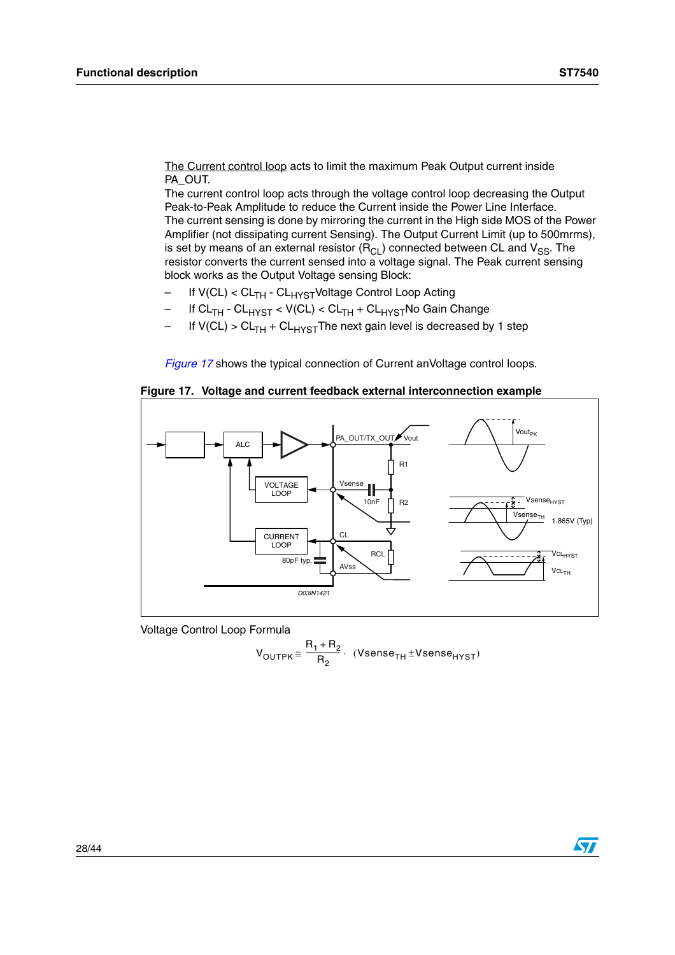The Current control loop acts to limit the maximum Peak Output current inside PA\_OUT.

The current control loop acts through the voltage control loop decreasing the Output Peak-to-Peak Amplitude to reduce the Current inside the Power Line Interface. The current sensing is done by mirroring the current in the High side MOS of the Power Amplifier (not dissipating current Sensing). The Output Current Limit (up to 500mrms), is set by means of an external resistor  $(R_{CL})$  connected between CL and  $V_{SS}$ . The resistor converts the current sensed into a voltage signal. The Peak current sensing block works as the Output Voltage sensing Block:

- If V(CL) < CL<sub>TH</sub> CL<sub>HYST</sub>Voltage Control Loop Acting
- If CL<sub>TH</sub> CL<sub>HYST</sub> < V(CL) < CL<sub>TH</sub> + CL<sub>HYST</sub>No Gain Change
- If  $V(Cl) > CL<sub>TH</sub> + CL<sub>HYST</sub>$  The next gain level is decreased by 1 step

*[Figure 17](#page-27-0)* shows the typical connection of Current anVoltage control loops.

<span id="page-27-0"></span>**Figure 17. Voltage and current feedback external interconnection example**



Voltage Control Loop Formula

$$
V_{\text{OUTPK}} \cong \frac{R_1 + R_2}{R_2} \cdot (V \text{sense}_{\text{TH}} \pm V \text{sense}_{\text{HYST}})
$$

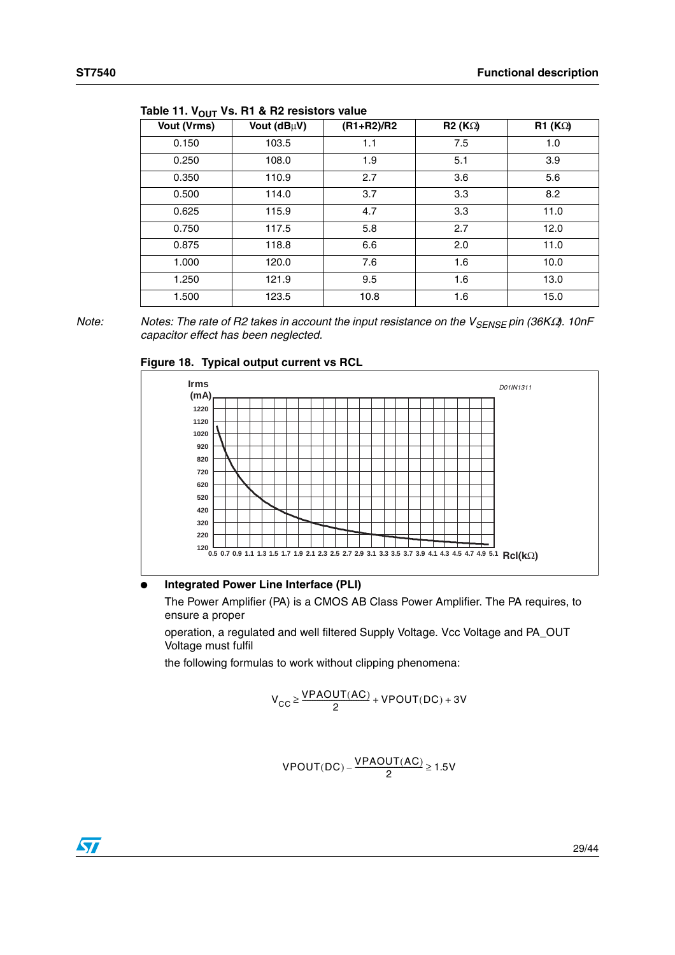| וטטייי             |             |                |        |                      |  |
|--------------------|-------------|----------------|--------|----------------------|--|
| <b>Vout (Vrms)</b> | Vout (dBµV) | $(R1 + R2)/R2$ | R2(KQ) | R1 (K <sub>Ω</sub> ) |  |
| 0.150              | 103.5       | 1.1            | 7.5    | 1.0                  |  |
| 0.250              | 108.0       | 1.9            | 5.1    | 3.9                  |  |
| 0.350              | 110.9       | 2.7            | 3.6    | 5.6                  |  |
| 0.500              | 114.0       | 3.7            | 3.3    | 8.2                  |  |
| 0.625              | 115.9       | 4.7            | 3.3    | 11.0                 |  |
| 0.750              | 117.5       | 5.8            | 2.7    | 12.0                 |  |
| 0.875              | 118.8       | 6.6            | 2.0    | 11.0                 |  |
| 1.000              | 120.0       | 7.6            | 1.6    | 10.0                 |  |
| 1.250              | 121.9       | 9.5            | 1.6    | 13.0                 |  |
| 1.500              | 123.5       | 10.8           | 1.6    | 15.0                 |  |

Table 11. V<sub>OUT</sub> Vs. R1 & R2 resistors value

*Note: Notes: The rate of R2 takes in account the input resistance on the V<sub>SENSE</sub> pin (36KΩ). 10nF capacitor effect has been neglected.*





#### **Integrated Power Line Interface (PLI)**

The Power Amplifier (PA) is a CMOS AB Class Power Amplifier. The PA requires, to ensure a proper

operation, a regulated and well filtered Supply Voltage. Vcc Voltage and PA\_OUT Voltage must fulfil

the following formulas to work without clipping phenomena:

$$
V_{CC} \ge \frac{VPAOUT(AC)}{2} + VPOUT(DC) + 3V
$$

$$
VPOUT(DC)-\frac{VPAOUT(AC)}{2} \geq 1.5V
$$

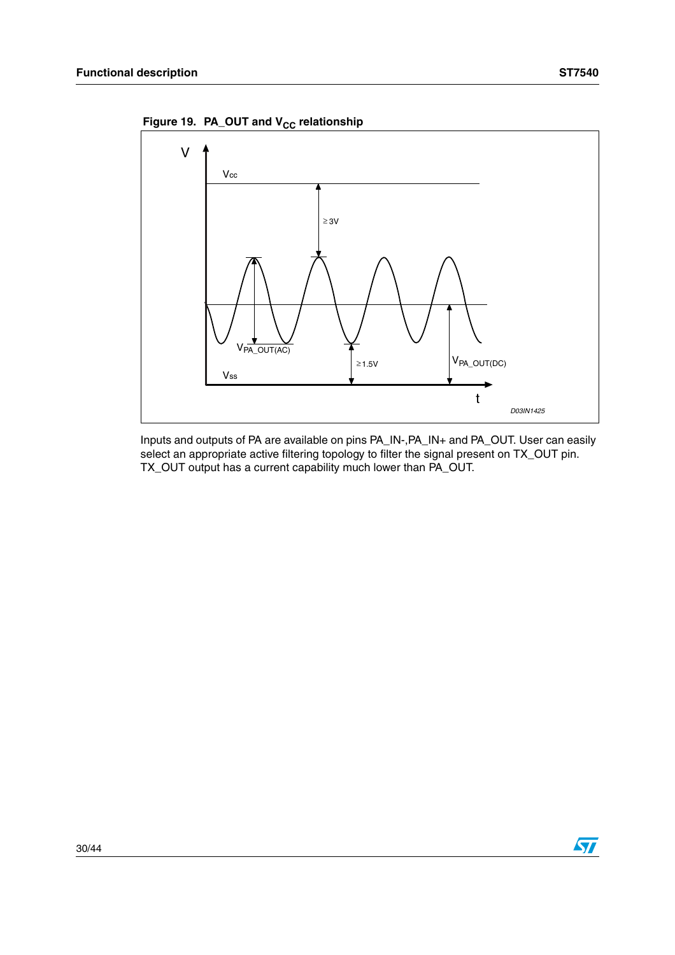Figure 19. PA\_OUT and V<sub>CC</sub> relationship



Inputs and outputs of PA are available on pins PA\_IN-,PA\_IN+ and PA\_OUT. User can easily select an appropriate active filtering topology to filter the signal present on TX\_OUT pin. TX\_OUT output has a current capability much lower than PA\_OUT.

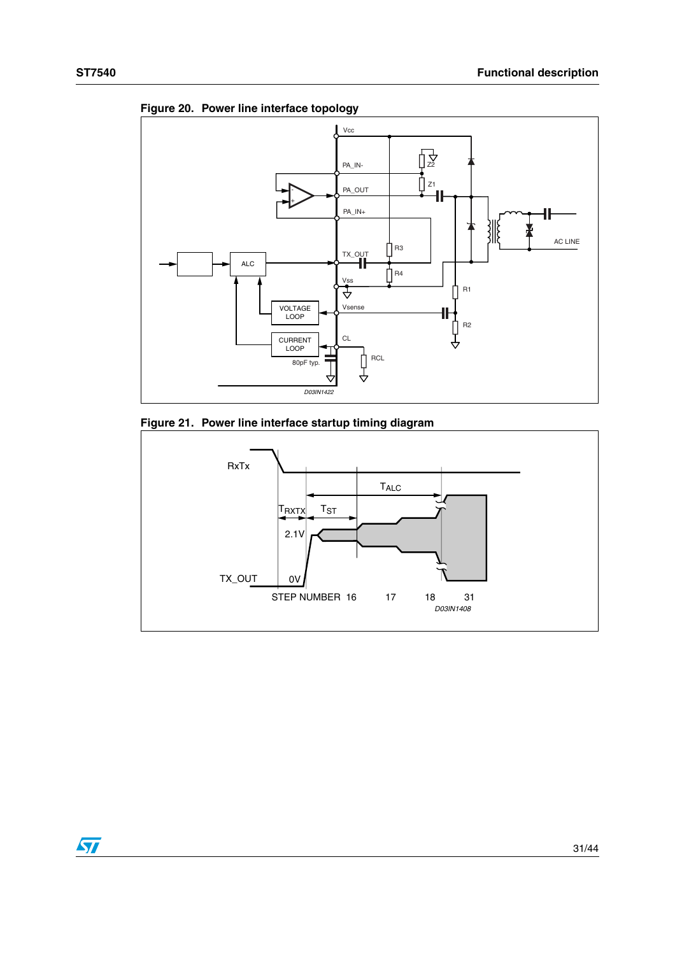



**Figure 20. Power line interface topology**

<span id="page-30-0"></span>



 $\sqrt{2}$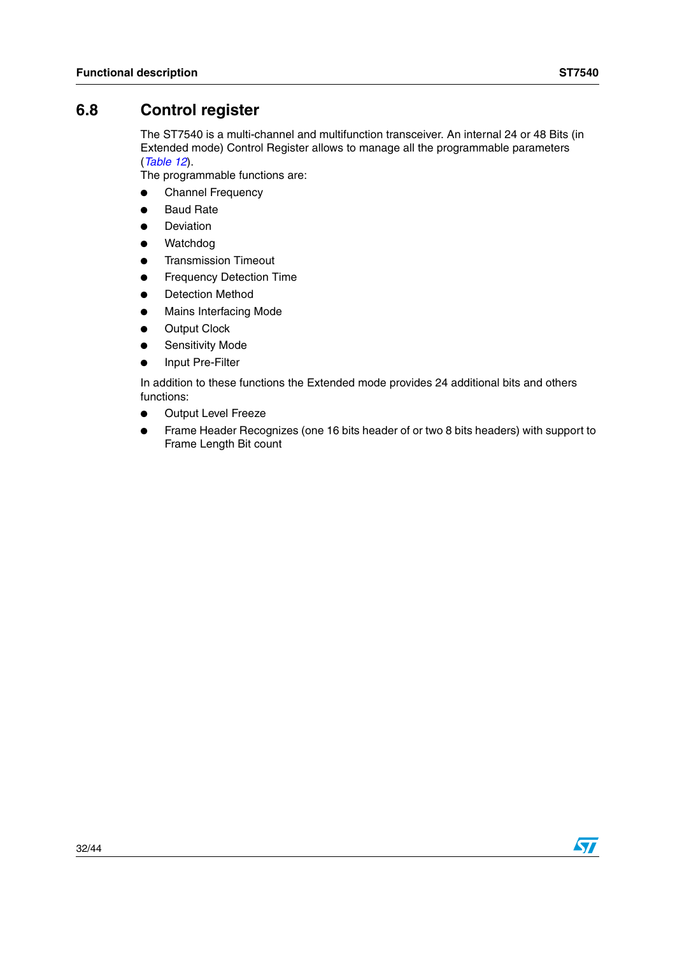# <span id="page-31-0"></span>**6.8 Control register**

The ST7540 is a multi-channel and multifunction transceiver. An internal 24 or 48 Bits (in Extended mode) Control Register allows to manage all the programmable parameters (*[Table 12](#page-32-0)*).

The programmable functions are:

- Channel Frequency
- Baud Rate
- Deviation
- Watchdog
- **Transmission Timeout**
- **Frequency Detection Time**
- **Detection Method**
- **Mains Interfacing Mode**
- **Output Clock**
- **Sensitivity Mode**
- Input Pre-Filter

In addition to these functions the Extended mode provides 24 additional bits and others functions:

- Output Level Freeze
- Frame Header Recognizes (one 16 bits header of or two 8 bits headers) with support to Frame Length Bit count

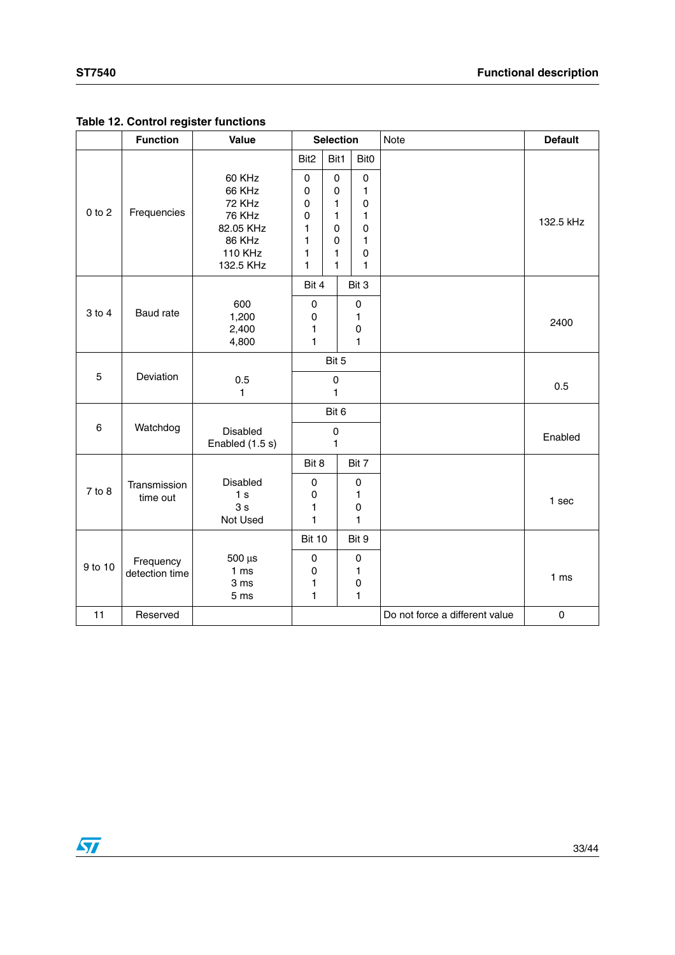#### <span id="page-32-0"></span>**Table 12. Control register functions**

|            | <b>Function</b>             | Value                                                                                             | <b>Selection</b>                                       |                                                                       |  | Note                                                    | <b>Default</b>                 |                 |
|------------|-----------------------------|---------------------------------------------------------------------------------------------------|--------------------------------------------------------|-----------------------------------------------------------------------|--|---------------------------------------------------------|--------------------------------|-----------------|
|            |                             |                                                                                                   | Bit <sub>2</sub>                                       | Bit1                                                                  |  | Bit0                                                    |                                |                 |
| $0$ to $2$ | Frequencies                 | 60 KHz<br>66 KHz<br>72 KHz<br><b>76 KHz</b><br>82.05 KHz<br>86 KHz<br><b>110 KHz</b><br>132.5 KHz | 0<br>0<br>0<br>0<br>1<br>1<br>1<br>1                   | $\mathsf 0$<br>$\pmb{0}$<br>1<br>1<br>$\Omega$<br>$\Omega$<br>1<br>1. |  | $\pmb{0}$<br>$\mathbf{1}$<br>0<br>1<br>0<br>1<br>0<br>1 |                                | 132.5 kHz       |
|            |                             |                                                                                                   | Bit 4                                                  |                                                                       |  | Bit 3                                                   |                                |                 |
| $3$ to $4$ | Baud rate                   | 600<br>1,200<br>2,400<br>4,800                                                                    | $\pmb{0}$<br>$\pmb{0}$<br>$\mathbf{1}$<br>$\mathbf{1}$ |                                                                       |  | $\pmb{0}$<br>1<br>$\mathsf 0$<br>1                      |                                | 2400            |
|            |                             |                                                                                                   |                                                        | Bit 5                                                                 |  |                                                         |                                |                 |
| 5          | Deviation                   | 0.5<br>1                                                                                          | $\pmb{0}$<br>1                                         |                                                                       |  |                                                         | 0.5                            |                 |
|            |                             |                                                                                                   |                                                        | Bit 6                                                                 |  |                                                         |                                |                 |
| 6          | Watchdog                    | Disabled<br>Enabled (1.5 s)                                                                       | $\mathsf 0$<br>1                                       |                                                                       |  |                                                         | Enabled                        |                 |
|            |                             |                                                                                                   | Bit 8                                                  |                                                                       |  | Bit 7                                                   |                                |                 |
| 7 to 8     | Transmission<br>time out    | Disabled<br>1 <sub>s</sub><br>3s<br>Not Used                                                      | $\pmb{0}$<br>$\pmb{0}$<br>$\mathbf{1}$<br>$\mathbf{1}$ |                                                                       |  | $\pmb{0}$<br>1<br>$\mathsf 0$<br>1                      |                                | 1 sec           |
|            |                             |                                                                                                   | <b>Bit 10</b>                                          |                                                                       |  | Bit 9                                                   |                                |                 |
| 9 to 10    | Frequency<br>detection time | $500 \mu s$<br>1 <sub>ms</sub><br>3 ms<br>5 <sub>ms</sub>                                         | $\pmb{0}$<br>$\pmb{0}$<br>1<br>1                       |                                                                       |  | 0<br>1<br>0<br>1                                        |                                | 1 <sub>ms</sub> |
| 11         | Reserved                    |                                                                                                   |                                                        |                                                                       |  |                                                         | Do not force a different value | 0               |

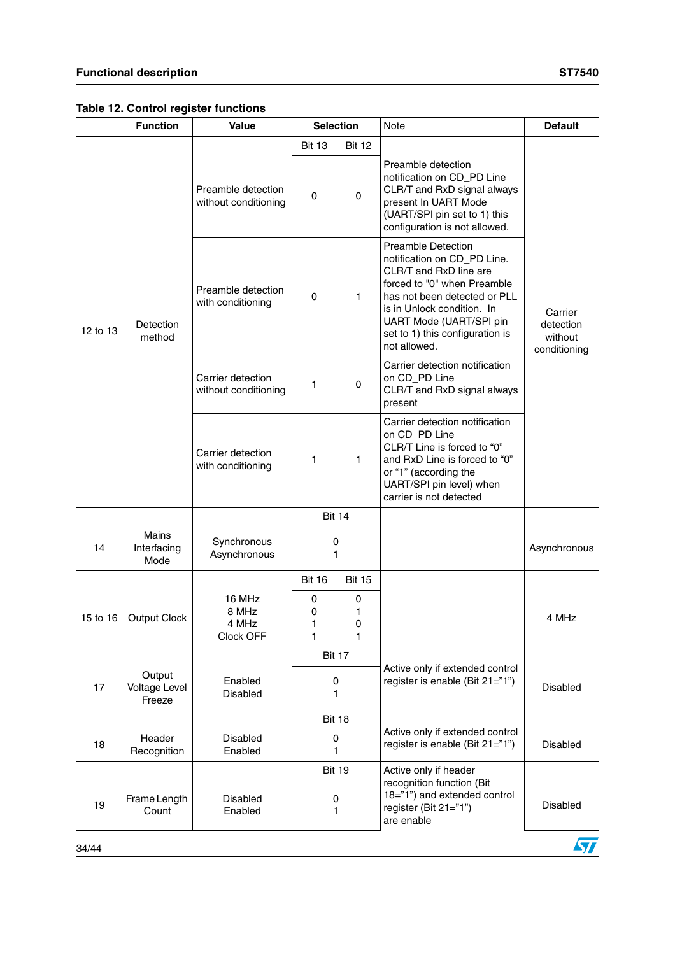**Table 12. Control register functions** 

|          | <b>Function</b>                          | Value                                      | <b>Selection</b>            |                  | Note                                                                                                                                                                                                                                                          | <b>Default</b>                                  |
|----------|------------------------------------------|--------------------------------------------|-----------------------------|------------------|---------------------------------------------------------------------------------------------------------------------------------------------------------------------------------------------------------------------------------------------------------------|-------------------------------------------------|
|          |                                          |                                            | <b>Bit 13</b>               | <b>Bit 12</b>    |                                                                                                                                                                                                                                                               |                                                 |
|          |                                          | Preamble detection<br>without conditioning | 0                           | 0                | Preamble detection<br>notification on CD_PD Line<br>CLR/T and RxD signal always<br>present In UART Mode<br>(UART/SPI pin set to 1) this<br>configuration is not allowed.                                                                                      |                                                 |
| 12 to 13 | Detection<br>method                      | Preamble detection<br>with conditioning    | 0                           | 1                | <b>Preamble Detection</b><br>notification on CD_PD Line.<br>CLR/T and RxD line are<br>forced to "0" when Preamble<br>has not been detected or PLL<br>is in Unlock condition. In<br>UART Mode (UART/SPI pin<br>set to 1) this configuration is<br>not allowed. | Carrier<br>detection<br>without<br>conditioning |
|          |                                          | Carrier detection<br>without conditioning  | 1                           | 0                | Carrier detection notification<br>on CD_PD Line<br>CLR/T and RxD signal always<br>present                                                                                                                                                                     |                                                 |
|          |                                          | Carrier detection<br>with conditioning     | 1                           | 1                | Carrier detection notification<br>on CD PD Line<br>CLR/T Line is forced to "0"<br>and RxD Line is forced to "0"<br>or "1" (according the<br>UART/SPI pin level) when<br>carrier is not detected                                                               |                                                 |
|          |                                          |                                            | <b>Bit 14</b>               |                  |                                                                                                                                                                                                                                                               |                                                 |
| 14       | <b>Mains</b><br>Interfacing<br>Mode      | Synchronous<br>Asynchronous                | 0<br>1                      |                  |                                                                                                                                                                                                                                                               | Asynchronous                                    |
|          |                                          |                                            | <b>Bit 16</b>               | <b>Bit 15</b>    |                                                                                                                                                                                                                                                               |                                                 |
| 15 to 16 | <b>Output Clock</b>                      | 16 MHz<br>8 MHz<br>4 MHz<br>Clock OFF      | 0<br>0<br>1<br>$\mathbf{1}$ | 0<br>1<br>0<br>1 |                                                                                                                                                                                                                                                               | 4 MHz                                           |
|          |                                          |                                            | <b>Bit 17</b>               |                  |                                                                                                                                                                                                                                                               |                                                 |
| 17       | Output<br><b>Voltage Level</b><br>Freeze | Enabled<br>Disabled                        | 0<br>1                      |                  | Active only if extended control<br>register is enable (Bit 21="1")                                                                                                                                                                                            | Disabled                                        |
|          |                                          |                                            | <b>Bit 18</b>               |                  |                                                                                                                                                                                                                                                               |                                                 |
| 18       | Header<br>Recognition                    | Disabled<br>Enabled                        | 0<br>1                      |                  | Active only if extended control<br>register is enable (Bit 21="1")                                                                                                                                                                                            | Disabled                                        |
|          |                                          |                                            | <b>Bit 19</b>               |                  | Active only if header                                                                                                                                                                                                                                         |                                                 |
| 19       | Frame Length<br>Count                    | <b>Disabled</b><br>Enabled                 | 0<br>1                      |                  | recognition function (Bit<br>18="1") and extended control<br>register (Bit 21="1")<br>are enable                                                                                                                                                              | Disabled                                        |

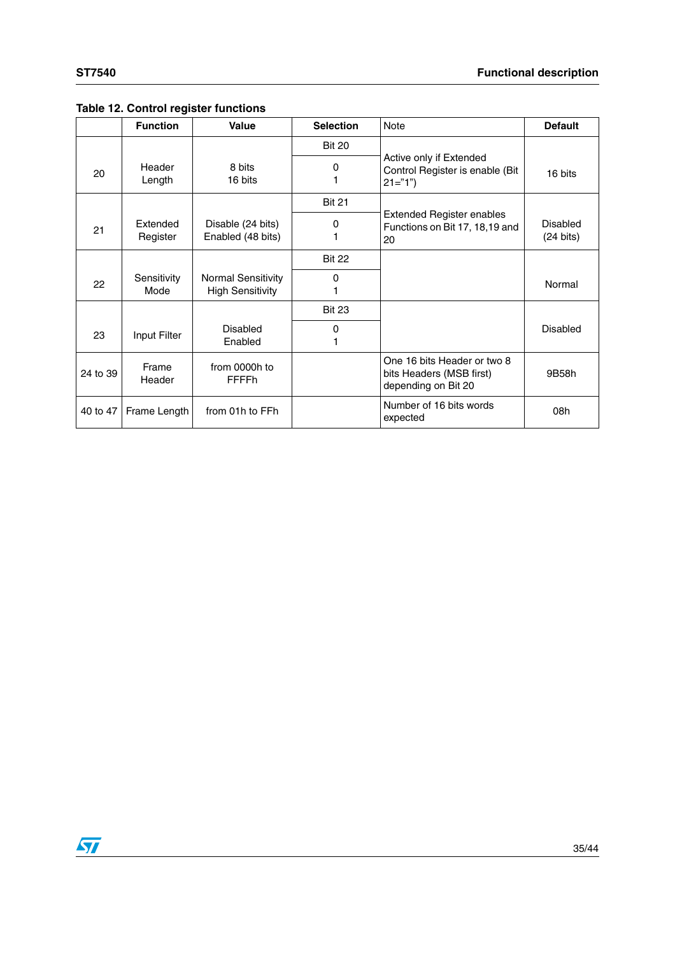## **Table 12. Control register functions**

|          | <b>Function</b>      | Value                                                | <b>Selection</b> | Note                                                                           | <b>Default</b>                  |
|----------|----------------------|------------------------------------------------------|------------------|--------------------------------------------------------------------------------|---------------------------------|
|          |                      |                                                      | <b>Bit 20</b>    |                                                                                |                                 |
| 20       | Header<br>Length     | 8 bits<br>16 bits                                    | 0                | Active only if Extended<br>Control Register is enable (Bit<br>$21 = "1"$       | 16 bits                         |
|          |                      |                                                      | <b>Bit 21</b>    |                                                                                |                                 |
| 21       | Extended<br>Register | Disable (24 bits)<br>Enabled (48 bits)               | 0                | <b>Extended Register enables</b><br>Functions on Bit 17, 18, 19 and<br>20      | Disabled<br>$(24 \text{ bits})$ |
|          |                      |                                                      | <b>Bit 22</b>    |                                                                                |                                 |
| 22       | Sensitivity<br>Mode  | <b>Normal Sensitivity</b><br><b>High Sensitivity</b> | 0                |                                                                                | Normal                          |
|          |                      |                                                      | <b>Bit 23</b>    |                                                                                |                                 |
| 23       | Input Filter         | Disabled<br>Enabled                                  | 0                |                                                                                | Disabled                        |
| 24 to 39 | Frame<br>Header      | from 0000h to<br>FFFFh                               |                  | One 16 bits Header or two 8<br>bits Headers (MSB first)<br>depending on Bit 20 | 9B58h                           |
| 40 to 47 | Frame Length         | from 01h to FFh                                      |                  | Number of 16 bits words<br>expected                                            | 08h                             |

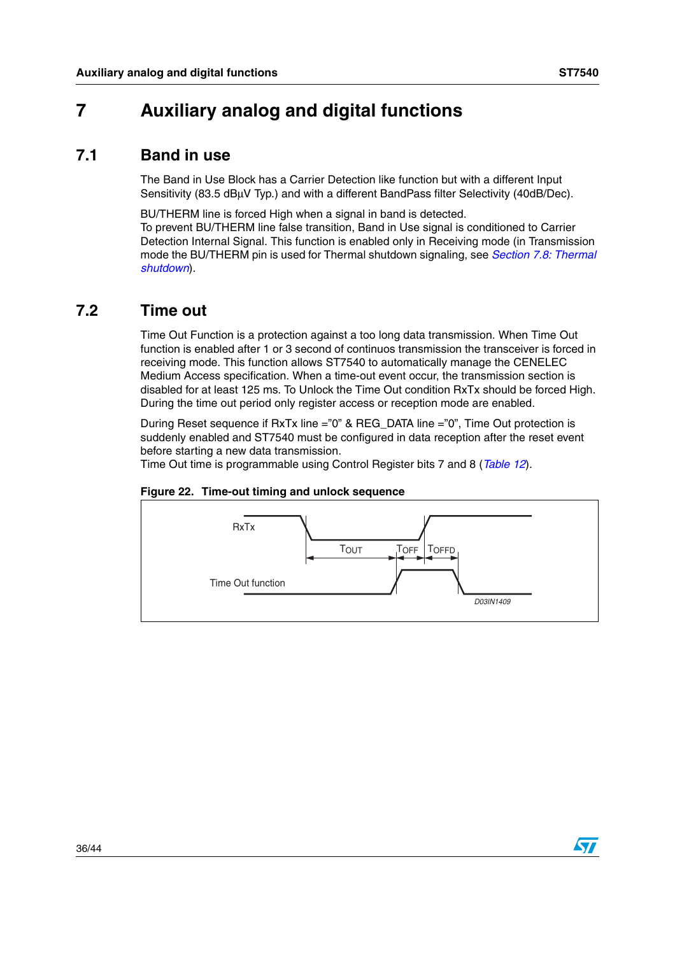# <span id="page-35-0"></span>**7 Auxiliary analog and digital functions**

## <span id="page-35-1"></span>**7.1 Band in use**

The Band in Use Block has a Carrier Detection like function but with a different Input Sensitivity (83.5 dBµV Typ.) and with a different BandPass filter Selectivity (40dB/Dec).

BU/THERM line is forced High when a signal in band is detected. To prevent BU/THERM line false transition, Band in Use signal is conditioned to Carrier Detection Internal Signal. This function is enabled only in Receiving mode (in Transmission mode the BU/THERM pin is used for Thermal shutdown signaling, see *[Section 7.8: Thermal](#page-37-1)  [shutdown](#page-37-1)*).

# <span id="page-35-2"></span>**7.2 Time out**

Time Out Function is a protection against a too long data transmission. When Time Out function is enabled after 1 or 3 second of continuos transmission the transceiver is forced in receiving mode. This function allows ST7540 to automatically manage the CENELEC Medium Access specification. When a time-out event occur, the transmission section is disabled for at least 125 ms. To Unlock the Time Out condition RxTx should be forced High. During the time out period only register access or reception mode are enabled.

During Reset sequence if RxTx line ="0" & REG\_DATA line ="0", Time Out protection is suddenly enabled and ST7540 must be configured in data reception after the reset event before starting a new data transmission.

Time Out time is programmable using Control Register bits 7 and 8 (*[Table 12](#page-32-0)*).

<span id="page-35-3"></span>



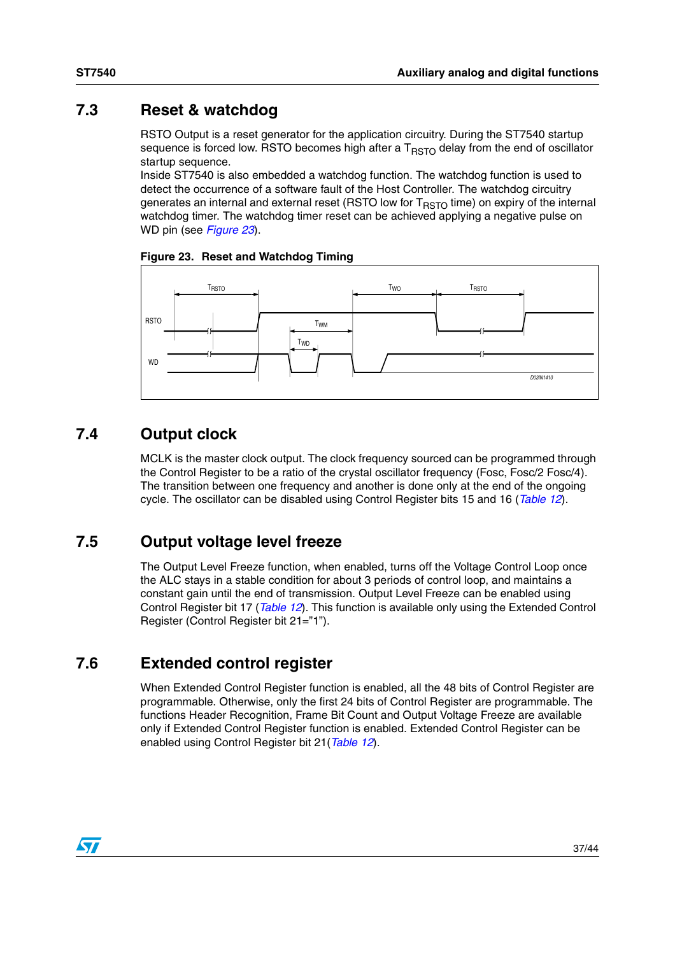# <span id="page-36-0"></span>**7.3 Reset & watchdog**

RSTO Output is a reset generator for the application circuitry. During the ST7540 startup sequence is forced low. RSTO becomes high after a  $T<sub>BSTO</sub>$  delay from the end of oscillator startup sequence.

Inside ST7540 is also embedded a watchdog function. The watchdog function is used to detect the occurrence of a software fault of the Host Controller. The watchdog circuitry generates an internal and external reset (RSTO low for  $T<sub>RSTO</sub>$  time) on expiry of the internal watchdog timer. The watchdog timer reset can be achieved applying a negative pulse on WD pin (see *[Figure 23](#page-36-4)*).

<span id="page-36-4"></span>



# <span id="page-36-1"></span>**7.4 Output clock**

MCLK is the master clock output. The clock frequency sourced can be programmed through the Control Register to be a ratio of the crystal oscillator frequency (Fosc, Fosc/2 Fosc/4). The transition between one frequency and another is done only at the end of the ongoing cycle. The oscillator can be disabled using Control Register bits 15 and 16 (*[Table 12](#page-32-0)*).

# <span id="page-36-2"></span>**7.5 Output voltage level freeze**

The Output Level Freeze function, when enabled, turns off the Voltage Control Loop once the ALC stays in a stable condition for about 3 periods of control loop, and maintains a constant gain until the end of transmission. Output Level Freeze can be enabled using Control Register bit 17 (*[Table 12](#page-32-0)*). This function is available only using the Extended Control Register (Control Register bit 21="1").

# <span id="page-36-3"></span>**7.6 Extended control register**

When Extended Control Register function is enabled, all the 48 bits of Control Register are programmable. Otherwise, only the first 24 bits of Control Register are programmable. The functions Header Recognition, Frame Bit Count and Output Voltage Freeze are available only if Extended Control Register function is enabled. Extended Control Register can be enabled using Control Register bit 21(*[Table 12](#page-32-0)*).

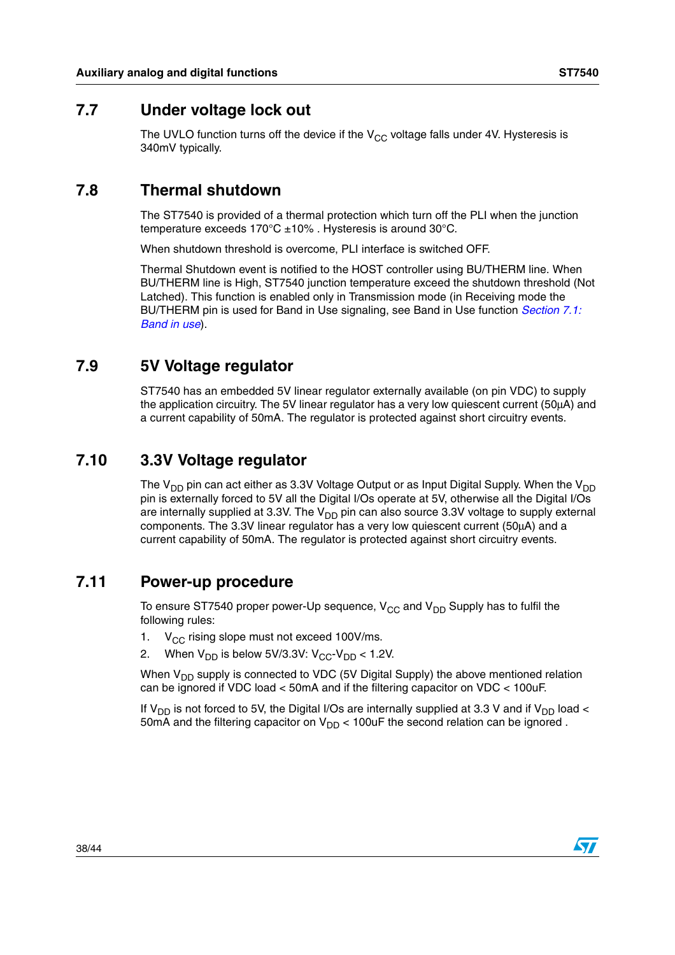## <span id="page-37-0"></span>**7.7 Under voltage lock out**

The UVLO function turns off the device if the  $V_{CC}$  voltage falls under 4V. Hysteresis is 340mV typically.

## <span id="page-37-1"></span>**7.8 Thermal shutdown**

The ST7540 is provided of a thermal protection which turn off the PLI when the junction temperature exceeds 170°C ±10% . Hysteresis is around 30°C.

When shutdown threshold is overcome, PLI interface is switched OFF.

Thermal Shutdown event is notified to the HOST controller using BU/THERM line. When BU/THERM line is High, ST7540 junction temperature exceed the shutdown threshold (Not Latched). This function is enabled only in Transmission mode (in Receiving mode the BU/THERM pin is used for Band in Use signaling, see Band in Use function *[Section 7.1:](#page-35-1)  [Band in use](#page-35-1)*).

# <span id="page-37-2"></span>**7.9 5V Voltage regulator**

ST7540 has an embedded 5V linear regulator externally available (on pin VDC) to supply the application circuitry. The 5V linear regulator has a very low quiescent current (50µA) and a current capability of 50mA. The regulator is protected against short circuitry events.

# <span id="page-37-3"></span>**7.10 3.3V Voltage regulator**

The  $V_{DD}$  pin can act either as 3.3V Voltage Output or as Input Digital Supply. When the V<sub>DD</sub> pin is externally forced to 5V all the Digital I/Os operate at 5V, otherwise all the Digital I/Os are internally supplied at 3.3V. The  $V_{DD}$  pin can also source 3.3V voltage to supply external components. The 3.3V linear regulator has a very low quiescent current (50µA) and a current capability of 50mA. The regulator is protected against short circuitry events.

## <span id="page-37-4"></span>**7.11 Power-up procedure**

To ensure ST7540 proper power-Up sequence,  $V_{CC}$  and  $V_{DD}$  Supply has to fulfil the following rules:

- 1.  $V_{CC}$  rising slope must not exceed 100V/ms.
- 2. When  $V_{DD}$  is below 5V/3.3V:  $V_{CC}$ - $V_{DD}$  < 1.2V.

When  $V_{DD}$  supply is connected to VDC (5V Digital Supply) the above mentioned relation can be ignored if VDC load < 50mA and if the filtering capacitor on VDC < 100uF.

If  $V_{\text{DD}}$  is not forced to 5V, the Digital I/Os are internally supplied at 3.3 V and if  $V_{\text{DD}}$  load < 50mA and the filtering capacitor on  $V_{DD}$  < 100uF the second relation can be ignored.

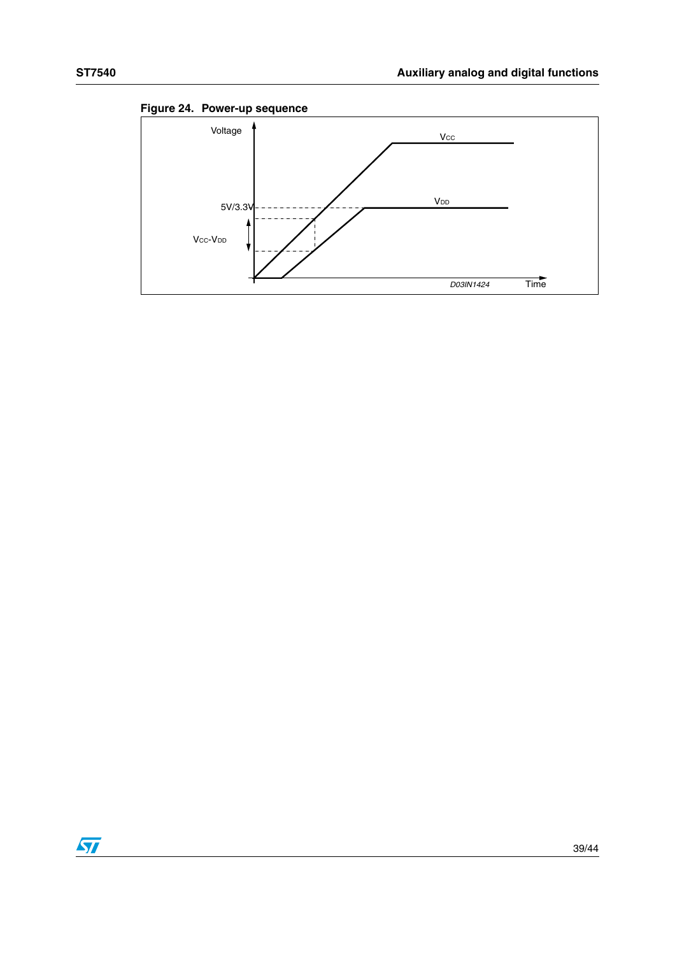

**Figure 24. Power-up sequence** 

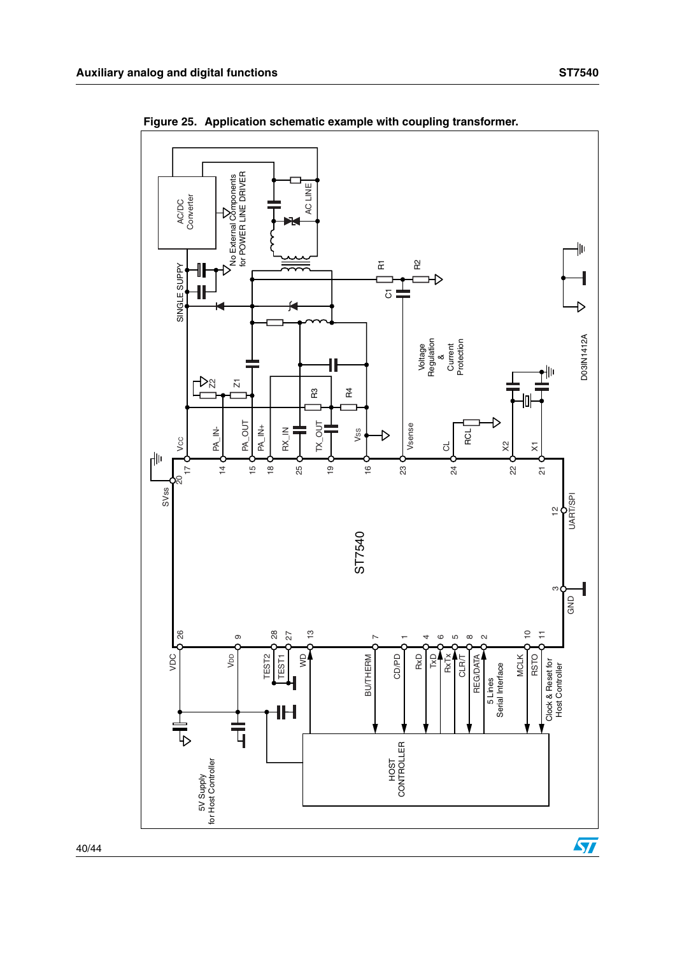

**Figure 25. Application schematic example with coupling transformer.**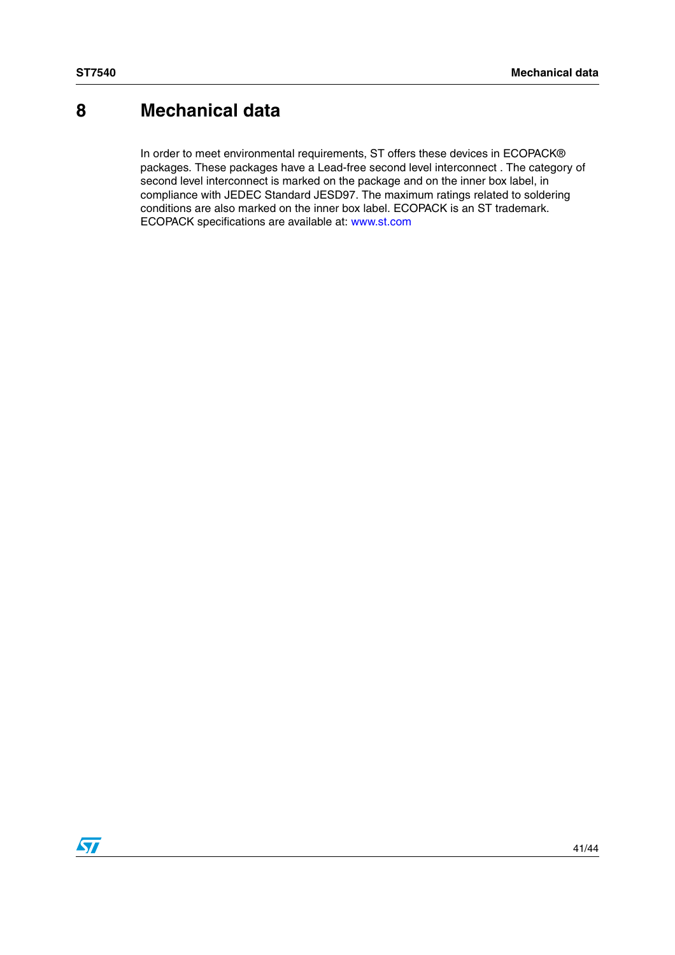# <span id="page-40-0"></span>**8 Mechanical data**

In order to meet environmental requirements, ST offers these devices in ECOPACK® packages. These packages have a Lead-free second level interconnect . The category of second level interconnect is marked on the package and on the inner box label, in compliance with JEDEC Standard JESD97. The maximum ratings related to soldering conditions are also marked on the inner box label. ECOPACK is an ST trademark. ECOPACK specifications are available at: www.st.com

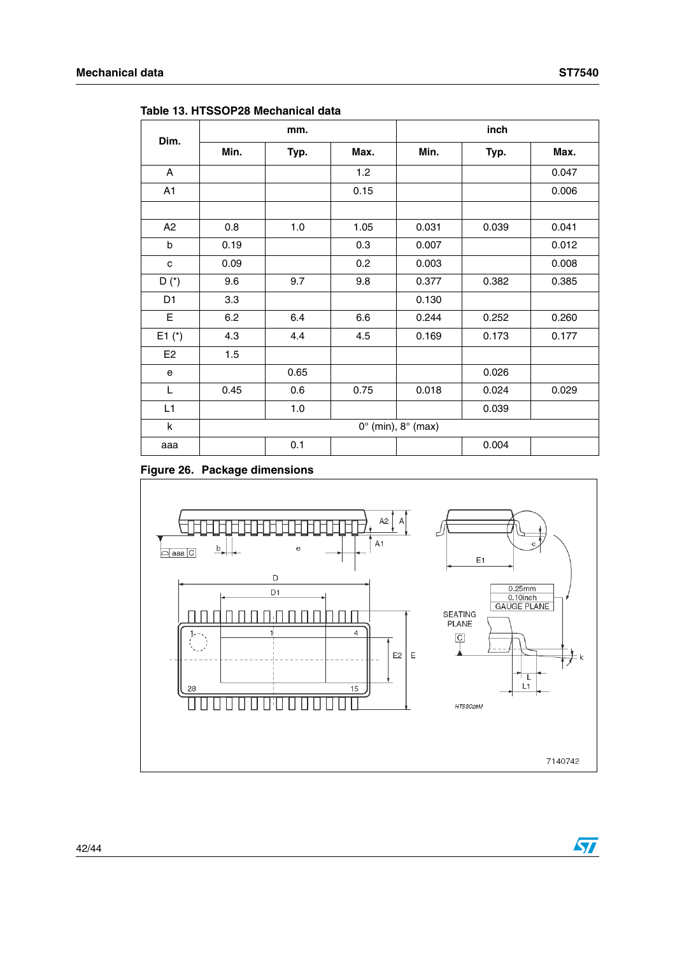| Dim.           |                                  | mm.  |      | inch  |       |       |
|----------------|----------------------------------|------|------|-------|-------|-------|
|                | Min.                             | Typ. | Max. | Min.  | Typ.  | Max.  |
| A              |                                  |      | 1.2  |       |       | 0.047 |
| A1             |                                  |      | 0.15 |       |       | 0.006 |
|                |                                  |      |      |       |       |       |
| A2             | 0.8                              | 1.0  | 1.05 | 0.031 | 0.039 | 0.041 |
| b              | 0.19                             |      | 0.3  | 0.007 |       | 0.012 |
| c              | 0.09                             |      | 0.2  | 0.003 |       | 0.008 |
| $D(*)$         | 9.6                              | 9.7  | 9.8  | 0.377 | 0.382 | 0.385 |
| D <sub>1</sub> | 3.3                              |      |      | 0.130 |       |       |
| E              | 6.2                              | 6.4  | 6.6  | 0.244 | 0.252 | 0.260 |
| $E1$ (*)       | 4.3                              | 4.4  | 4.5  | 0.169 | 0.173 | 0.177 |
| E <sub>2</sub> | 1.5                              |      |      |       |       |       |
| е              |                                  | 0.65 |      |       | 0.026 |       |
| L              | 0.45                             | 0.6  | 0.75 | 0.018 | 0.024 | 0.029 |
| L1             |                                  | 1.0  |      |       | 0.039 |       |
| k              | $0^\circ$ (min), $8^\circ$ (max) |      |      |       |       |       |
| aaa            |                                  | 0.1  |      |       | 0.004 |       |

**Table 13. HTSSOP28 Mechanical data**

#### **Figure 26. Package dimensions**



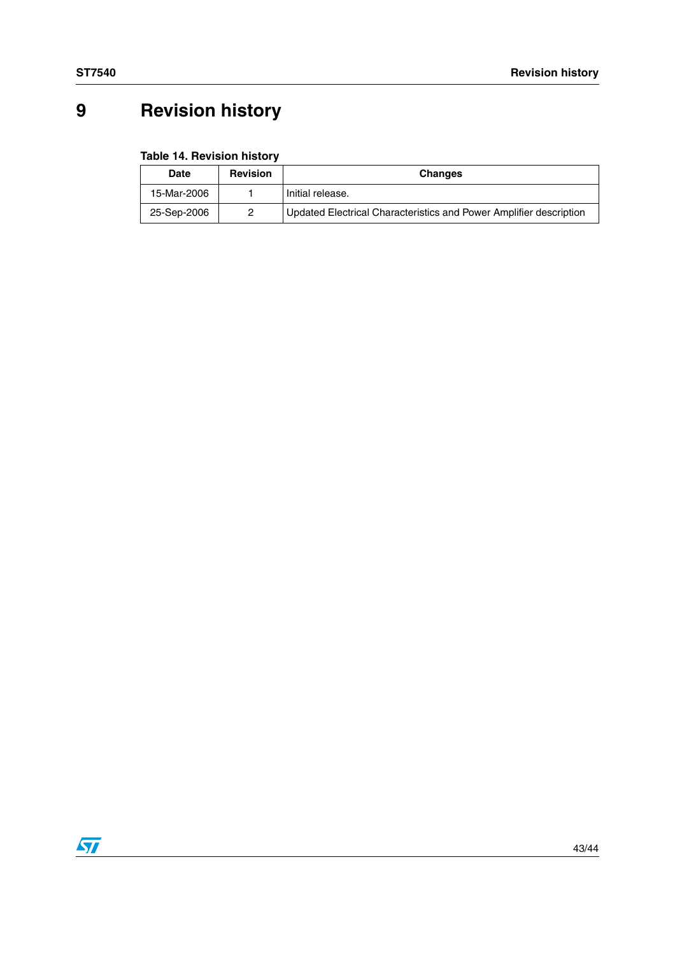# <span id="page-42-0"></span>**9 Revision history**

#### **Table 14. Revision history**

| Date        | <b>Revision</b> | <b>Changes</b>                                                     |
|-------------|-----------------|--------------------------------------------------------------------|
| 15-Mar-2006 |                 | Initial release.                                                   |
| 25-Sep-2006 | 2               | Updated Electrical Characteristics and Power Amplifier description |